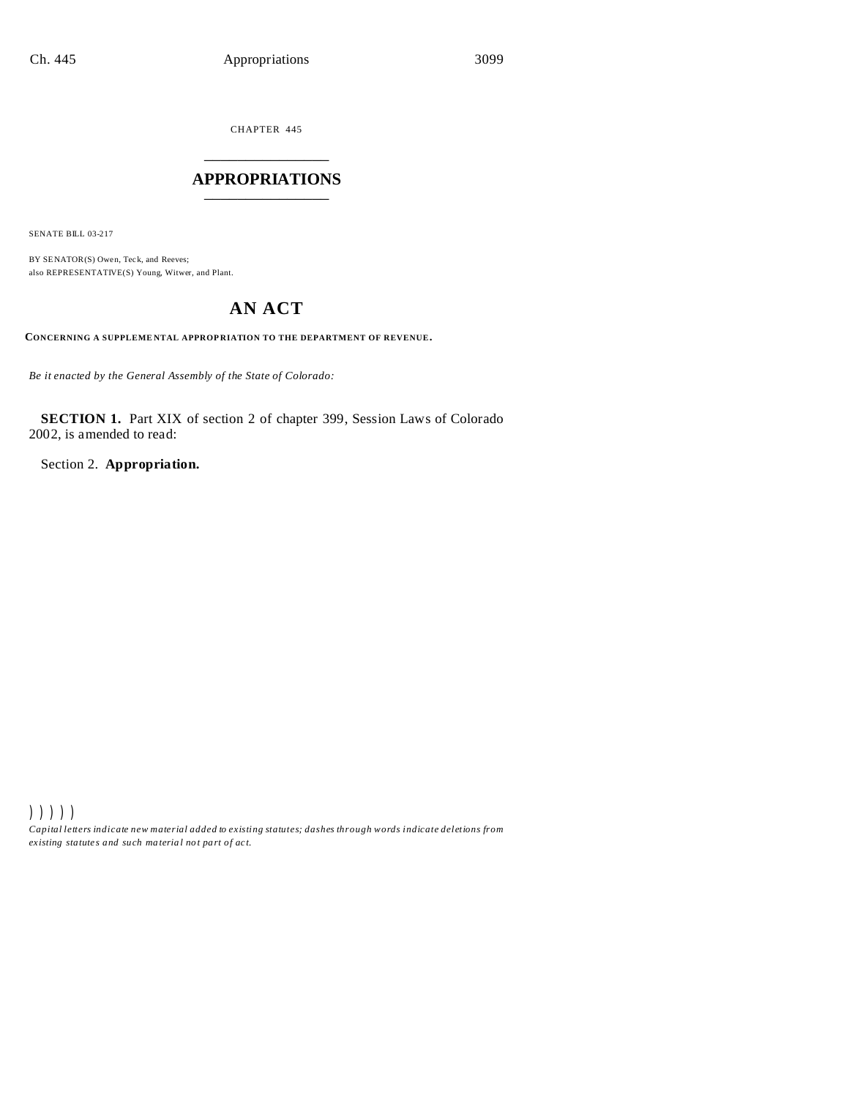CHAPTER 445 \_\_\_\_\_\_\_\_\_\_\_\_\_\_\_

# **APPROPRIATIONS** \_\_\_\_\_\_\_\_\_\_\_\_\_\_\_

SENATE BILL 03-217

BY SENATOR(S) Owen, Teck, and Reeves; also REPRESENTATIVE(S) Young, Witwer, and Plant.

# **AN ACT**

**CONCERNING A SUPPLEME NTAL APPROP RIATION TO THE DEPARTMENT OF REVENUE.**

*Be it enacted by the General Assembly of the State of Colorado:*

**SECTION 1.** Part XIX of section 2 of chapter 399, Session Laws of Colorado 2002, is amended to read:

Section 2. **Appropriation.**

))))) *Capital letters indicate new material added to existing statutes; dashes through words indicate deletions from ex isting statute s and such ma teria l no t pa rt of ac t.*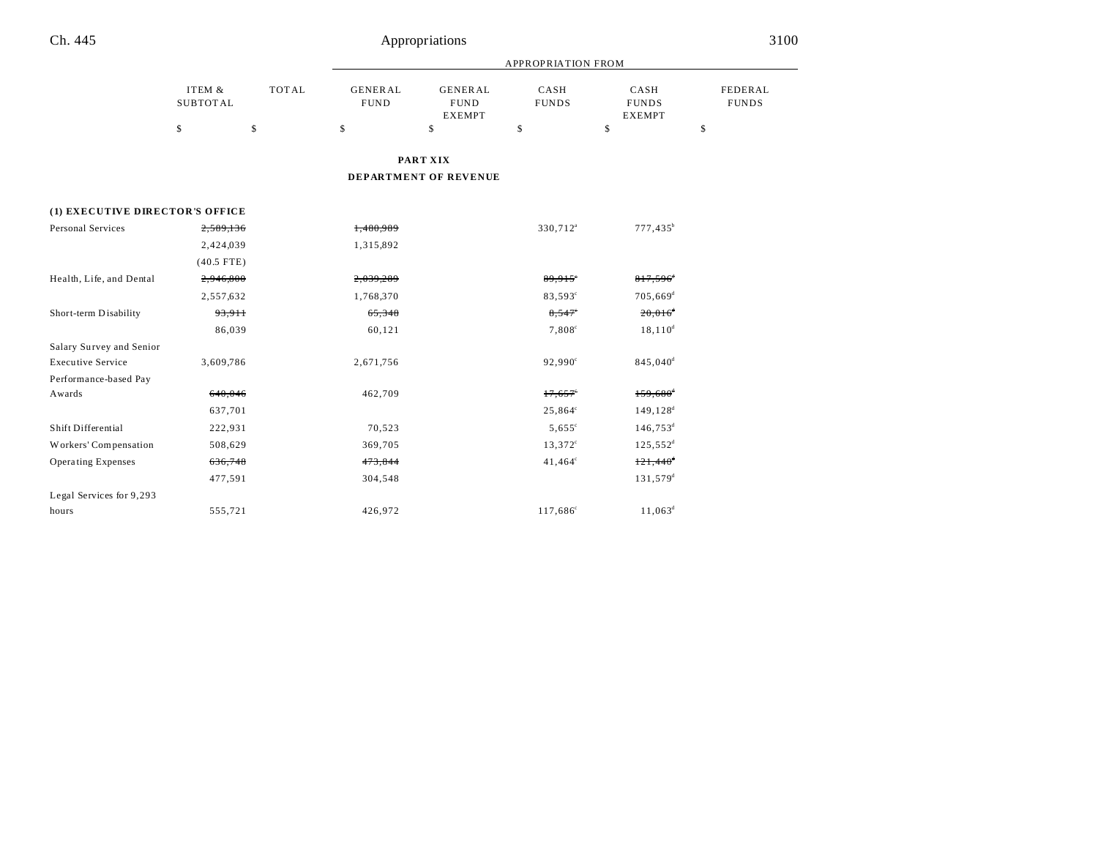|                                 |                           |              | <b>APPROPRIATION FROM</b>     |                                                |                      |                                       |                         |
|---------------------------------|---------------------------|--------------|-------------------------------|------------------------------------------------|----------------------|---------------------------------------|-------------------------|
|                                 | ITEM &<br><b>SUBTOTAL</b> | <b>TOTAL</b> | <b>GENERAL</b><br><b>FUND</b> | <b>GENERAL</b><br><b>FUND</b><br><b>EXEMPT</b> | CASH<br><b>FUNDS</b> | CASH<br><b>FUNDS</b><br><b>EXEMPT</b> | FEDERAL<br><b>FUNDS</b> |
|                                 | \$                        | \$           | \$                            | \$                                             | \$                   | $\mathbf S$                           | \$                      |
|                                 |                           |              |                               | PART XIX                                       |                      |                                       |                         |
|                                 |                           |              |                               | DEPARTMENT OF REVENUE                          |                      |                                       |                         |
| (1) EXECUTIVE DIRECTOR'S OFFICE |                           |              |                               |                                                |                      |                                       |                         |
| Personal Services               | 2,589,136                 |              | 1,480,989                     |                                                | 330,712 <sup>a</sup> | $777,435^b$                           |                         |
|                                 | 2,424,039                 |              | 1,315,892                     |                                                |                      |                                       |                         |
|                                 | $(40.5$ FTE)              |              |                               |                                                |                      |                                       |                         |
| Health, Life, and Dental        | 2,946,800                 |              | 2,039,289                     |                                                | 89,915               | $817,596$ <sup>d</sup>                |                         |
|                                 | 2,557,632                 |              | 1,768,370                     |                                                | 83,593°              | $705,669$ <sup>d</sup>                |                         |
| Short-term Disability           | 93,9 <sub>11</sub>        |              | 65,348                        |                                                | $8,547$ °            | $20,016^4$                            |                         |
|                                 | 86,039                    |              | 60,121                        |                                                | $7,808^{\circ}$      | $18, 110^d$                           |                         |
| Salary Survey and Senior        |                           |              |                               |                                                |                      |                                       |                         |
| <b>Executive Service</b>        | 3,609,786                 |              | 2,671,756                     |                                                | 92,990 <sup>c</sup>  | 845,040 <sup>d</sup>                  |                         |
| Performance-based Pay           |                           |              |                               |                                                |                      |                                       |                         |
| Awards                          | 640,046                   |              | 462,709                       |                                                | 17,657               | $159,680$ <sup>d</sup>                |                         |
|                                 | 637,701                   |              |                               |                                                | $25,864^{\circ}$     | $149, 128^d$                          |                         |
| Shift Differential              | 222,931                   |              | 70,523                        |                                                | $5,655^{\circ}$      | $146,753^d$                           |                         |
| Workers' Compensation           | 508,629                   |              | 369,705                       |                                                | $13,372^{\circ}$     | $125,552^d$                           |                         |
| <b>Operating Expenses</b>       | 636,748                   |              | 473,844                       |                                                | $41,464^{\circ}$     | $121,440$ <sup>d</sup>                |                         |
|                                 | 477,591                   |              | 304,548                       |                                                |                      | $131,579$ <sup>d</sup>                |                         |
| Legal Services for 9,293        |                           |              |                               |                                                |                      |                                       |                         |
| hours                           | 555,721                   |              | 426,972                       |                                                | 117,686 <sup>c</sup> | $11,063^d$                            |                         |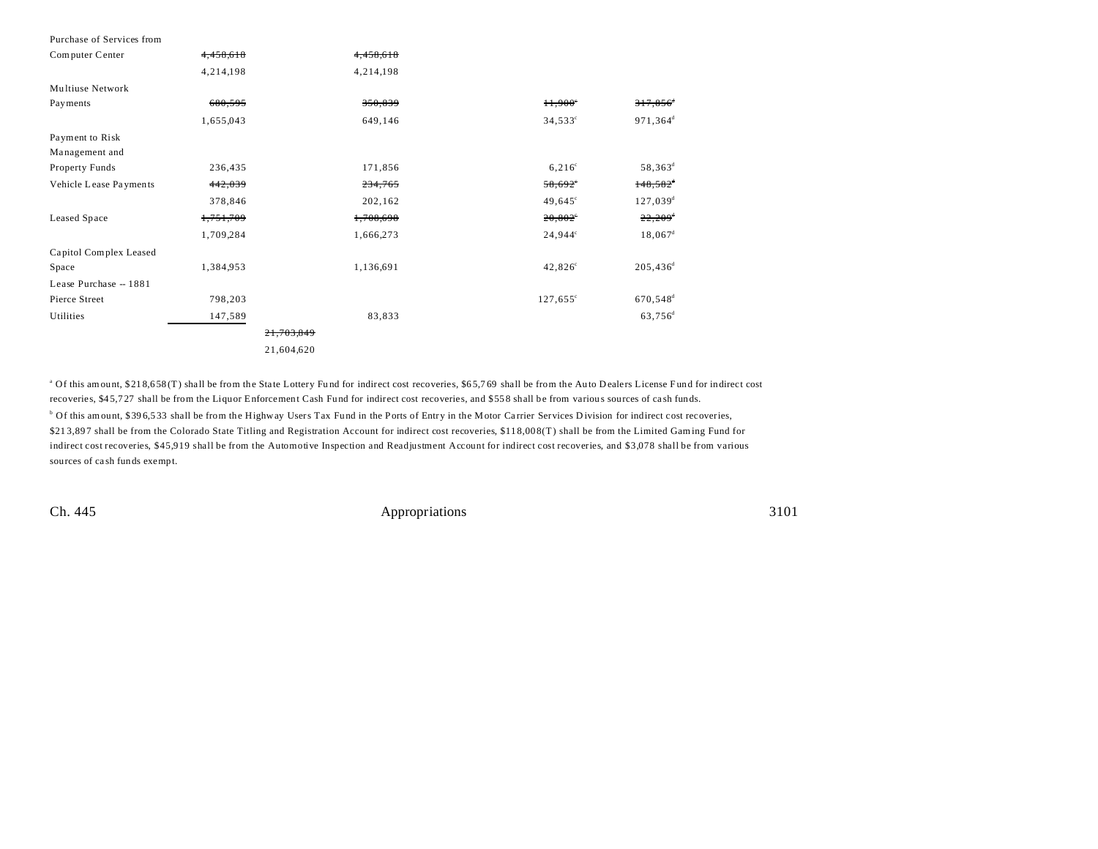| Purchase of Services from |           |            |                   |                        |
|---------------------------|-----------|------------|-------------------|------------------------|
| Computer Center           | 4,458,618 | 4,458,618  |                   |                        |
|                           | 4,214,198 | 4,214,198  |                   |                        |
| Multiuse Network          |           |            |                   |                        |
| Payments                  | 680,595   | 350,839    | $H$ , 900°        | 317,856                |
|                           | 1,655,043 | 649,146    | $34,533^{\circ}$  | 971,364 <sup>d</sup>   |
| Payment to Risk           |           |            |                   |                        |
| Management and            |           |            |                   |                        |
| Property Funds            | 236,435   | 171,856    | $6,216^{\circ}$   | $58,363^{\rm d}$       |
| Vehicle Lease Payments    | 442,039   | 234,765    | 58,692            | $148,582$ <sup>d</sup> |
|                           | 378,846   | 202,162    | $49,645^{\circ}$  | $127,039^{\rm d}$      |
| Leased Space              | 1,751,709 | 1,708,698  | $20,802^{\circ}$  | $22,209$ <sup>d</sup>  |
|                           | 1,709,284 | 1,666,273  | $24,944^{\circ}$  | $18,067$ <sup>d</sup>  |
| Capitol Complex Leased    |           |            |                   |                        |
| Space                     | 1,384,953 | 1,136,691  | $42,826^{\circ}$  | $205,436^d$            |
| Lease Purchase - 1881     |           |            |                   |                        |
| Pierce Street             | 798,203   |            | $127,655^{\circ}$ | $670,548$ <sup>d</sup> |
| Utilities                 | 147,589   | 83,833     |                   | 63,756 <sup>d</sup>    |
|                           |           | 21,703,849 |                   |                        |
|                           |           | 21,604,620 |                   |                        |

<sup>a</sup> Of this amount, \$218,658(T) shall be from the State Lottery Fund for indirect cost recoveries, \$65,769 shall be from the Auto Dealers License Fund for indirect cost recoveries, \$45,727 shall be from the Liquor Enforcement Cash Fund for indirect cost recoveries, and \$558 shall be from various sources of cash funds. <sup>b</sup> Of this amount, \$396,533 shall be from the Highway Users Tax Fund in the Ports of Entry in the Motor Carrier Services Division for indirect cost recoveries, \$21 3,89 7 shall be from the Colorado State Titling and Registration Account for indirect cost recoveries, \$11 8,00 8(T) shall be from the Limited Gaming Fund for indirect cost recoveries, \$45,919 shall be from the Automotive Inspection and Readjustment Account for indirect cost recoveries, and \$3,078 shall be from various sources of ca sh funds exempt.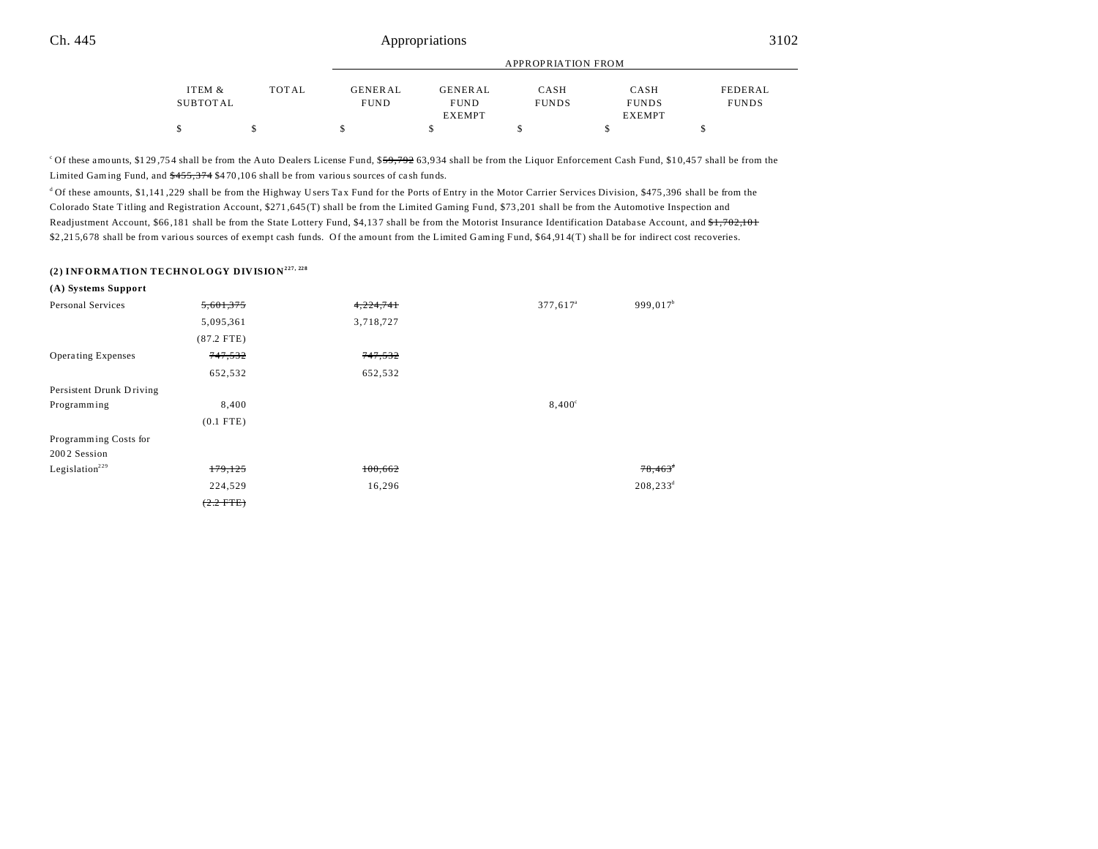|          |       |                | APPROPRIATION FROM |              |               |              |  |
|----------|-------|----------------|--------------------|--------------|---------------|--------------|--|
| ITEM &   | TOTAL | <b>GENERAL</b> | <b>GENERAL</b>     | CASH         | CASH          | FEDERAL      |  |
| SUBTOTAL |       | <b>FUND</b>    | <b>FUND</b>        | <b>FUNDS</b> | <b>FUNDS</b>  | <b>FUNDS</b> |  |
|          |       |                | <b>EXEMPT</b>      |              | <b>EXEMPT</b> |              |  |
| \$       |       | S              |                    |              |               |              |  |

<sup>c</sup>Of these amounts, \$129,754 shall be from the Auto Dealers License Fund, \$59,792 63,934 shall be from the Liquor Enforcement Cash Fund, \$10,457 shall be from the Limited Gaming Fund, and  $\frac{$455,374}{$470,106}$  shall be from various sources of cash funds.

<sup>d</sup> Of these amounts, \$1,141,229 shall be from the Highway Users Tax Fund for the Ports of Entry in the Motor Carrier Services Division, \$475,396 shall be from the Colorado State Titling and Registration Account, \$271 ,645 (T) shall be from the Limited Gaming Fund, \$73 ,201 shall be from the Automotive Inspection and Readjustment Account, \$66,181 shall be from the State Lottery Fund, \$4,137 shall be from the Motorist Insurance Identification Database Account, and \$1,702,101 \$2,215,678 shall be from various sources of exempt cash funds. Of the amount from the Limited Gaming Fund, \$64,914(T) shall be for indirect cost recoveries.

# **(2) INFORMATION TECHNOLOGY DIVISION227, 228**

| (A) Systems Support        |              |           |                      |                       |
|----------------------------|--------------|-----------|----------------------|-----------------------|
| Personal Services          | 5,601,375    | 4,224,741 | 377,617 <sup>a</sup> | 999,017 <sup>b</sup>  |
|                            | 5,095,361    | 3,718,727 |                      |                       |
|                            | $(87.2$ FTE) |           |                      |                       |
| <b>Operating Expenses</b>  | 747,532      | 747,532   |                      |                       |
|                            | 652,532      | 652,532   |                      |                       |
| Persistent Drunk Driving   |              |           |                      |                       |
| Programming                | 8,400        |           | $8,400^{\circ}$      |                       |
|                            | $(0.1$ FTE)  |           |                      |                       |
| Programming Costs for      |              |           |                      |                       |
| 2002 Session               |              |           |                      |                       |
| Legislation <sup>229</sup> | 179,125      | 100,662   |                      | $78,463$ <sup>*</sup> |
|                            | 224,529      | 16,296    |                      | $208, 233^d$          |
|                            | $(2.2$ FTE)  |           |                      |                       |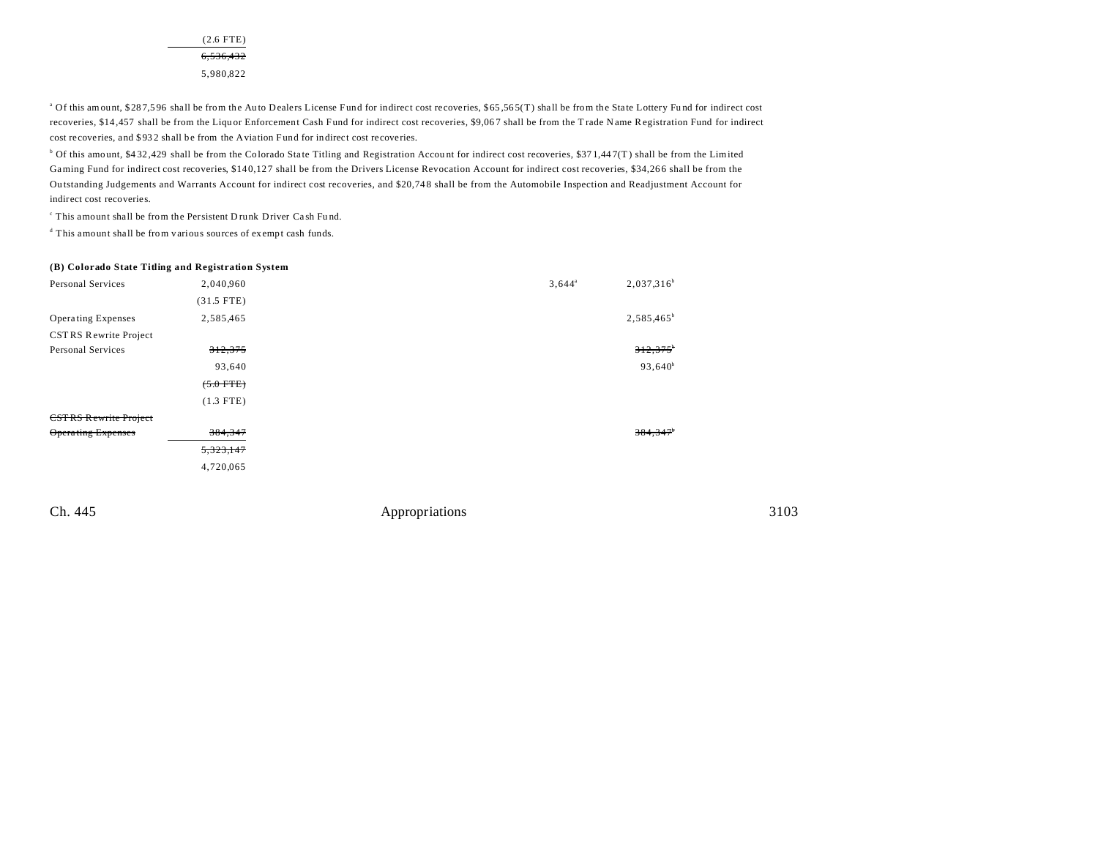(2.6 FTE) 6,536,432 5,980,822

<sup>a</sup> Of this amount, \$287,596 shall be from the Auto Dealers License Fund for indirect cost recoveries, \$65,565(T) shall be from the State Lottery Fund for indirect cost recoveries, \$14,457 shall be from the Liquor Enforcement Cash Fund for indirect cost recoveries, \$9,067 shall be from the Trade Name Registration Fund for indirect cost recoveries, and \$932 shall be from the Aviation Fund for indirect cost recoveries.

<sup>b</sup> Of this amount, \$432,429 shall be from the Colorado State Titling and Registration Account for indirect cost recoveries, \$371,447(T) shall be from the Limited Gaming Fund for indirect cost recoveries, \$140,127 shall be from the Drivers License Revocation Account for indirect cost recoveries, \$34,266 shall be from the Ou tstanding Judgements and Warrants Account for indirect cost recoveries, and \$20,74 8 shall be from the Automobile Inspection and Readjustment Account for indirect cost recoveries.

c This amount shall be from the Persistent D runk Driver Ca sh Fu nd.

d This amount shall be from various sources of exempt cash funds.

# **(B) Colorado State Titling and Registration System** Personal Services 2,040,960 3,644<sup>a</sup> 3,644<sup>a</sup>  $2.037.316^{b}$ (31.5 FTE) Operating Expenses 2,585,465 2,585,465 2,585,465 2,585,465 2,585,465 2,585,465 2,585,465 2,585,465 2,585,465 2,585,465 2,585,465 2,585,465 2,585,465 2,585,465 2,585,465 2,585,465 2,585,465 2,585,465 2,585,465 2,585,465 2,5 CST RS Rewrite Project Personal Services 312,375<sup>b</sup> 312,375<sup>b</sup> 312,375<sup>b</sup> 93,640 93,640 $b$  $(5.0$  FTE) (1.3 FTE) CST RS Rewrite Project Opera ting Expenses 384,347 384,347<sup>b</sup> 5,323,147 4,720,065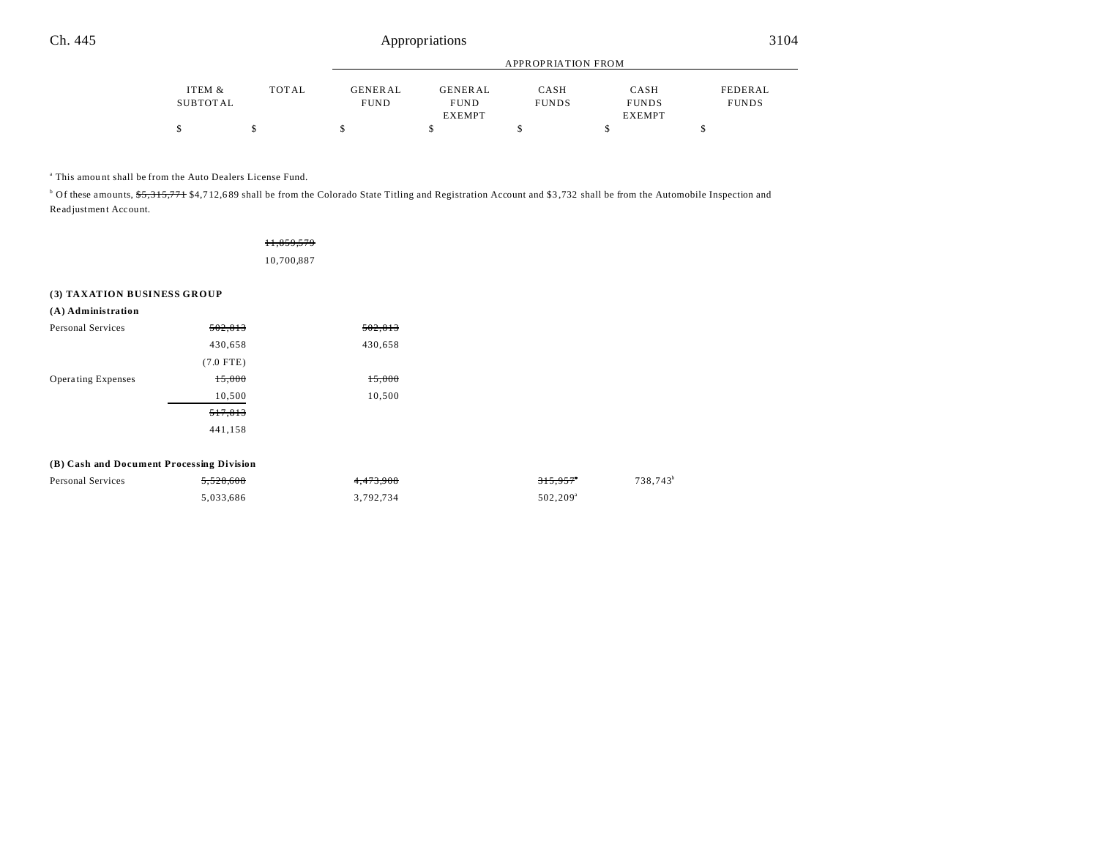|          |       | APPROPRIATION FROM |                |              |              |              |
|----------|-------|--------------------|----------------|--------------|--------------|--------------|
| ITEM &   | TOTAL | <b>GENERAL</b>     | <b>GENERAL</b> | CASH         | CASH         | FEDERAL      |
| SUBTOTAL |       | <b>FUND</b>        | <b>FUND</b>    | <b>FUNDS</b> | <b>FUNDS</b> | <b>FUNDS</b> |
|          |       |                    | <b>EXEMPT</b>  |              | EXEMPT       |              |
| \$       |       |                    |                |              |              |              |

a This amou nt shall be from the Auto Dealers License Fund.

<sup>b</sup> Of these amounts, <del>\$5,315,771</del> \$4,712,689 shall be from the Colorado State Titling and Registration Account and \$3,732 shall be from the Automobile Inspection and Readjustment Account.

| 11,859,579 |  |
|------------|--|
| 10,700,887 |  |

#### **(3) TAXATION BUSINESS GROUP**

| $(A)$ Administration      |             |         |
|---------------------------|-------------|---------|
| Personal Services         | 502,813     | 502,813 |
|                           | 430,658     | 430,658 |
|                           | $(7.0$ FTE) |         |
| <b>Operating Expenses</b> | 15,000      | 15,000  |
|                           | 10,500      | 10,500  |
|                           | 517,813     |         |
|                           | 441,158     |         |
|                           |             |         |

#### **(B) Cash and Document Processing Division**

| <b>Personal Services</b> | 5.528.608 | 4.473.908 | $315.957$ <sup>*</sup> | 738.743 <sup>b</sup> |
|--------------------------|-----------|-----------|------------------------|----------------------|
|                          | 5.033.686 | 3.792.734 | $502.209$ <sup>a</sup> |                      |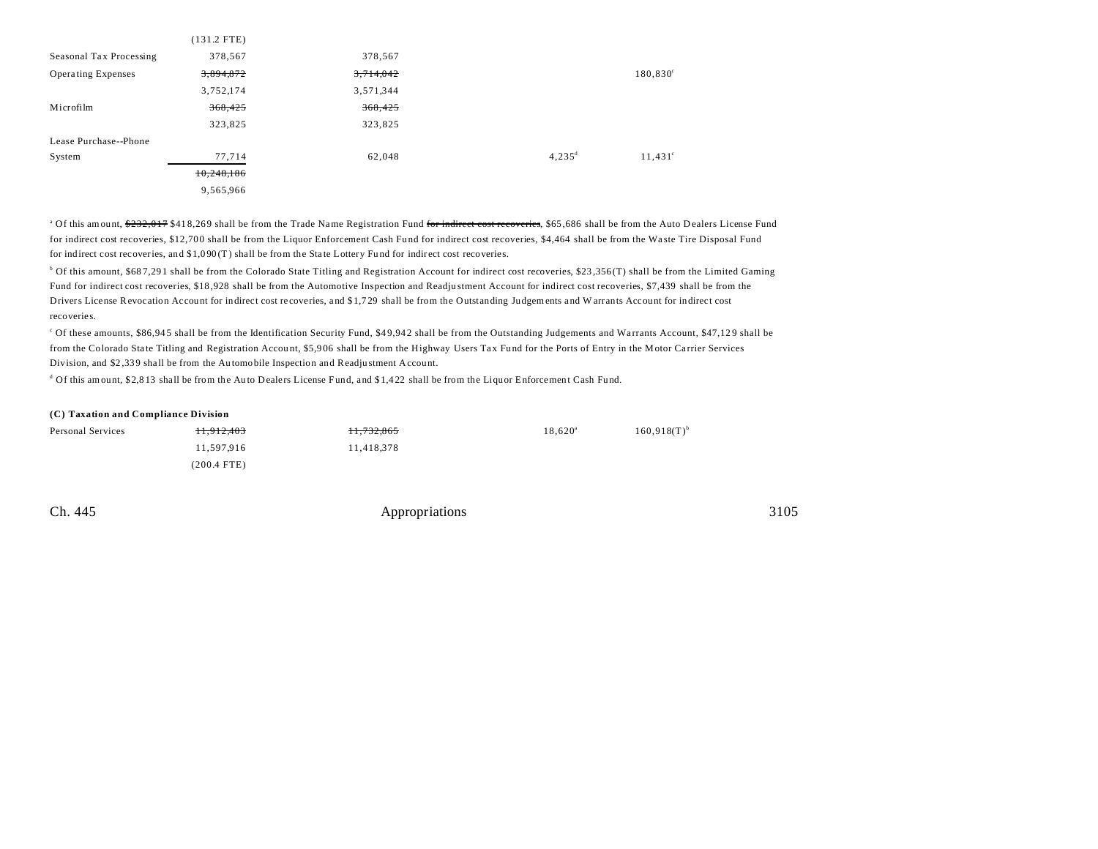|                           | $(131.2$ FTE) |           |           |                   |
|---------------------------|---------------|-----------|-----------|-------------------|
| Seasonal Tax Processing   | 378,567       | 378,567   |           |                   |
| <b>Operating Expenses</b> | 3,894,872     | 3,714,042 |           | $180,830^{\circ}$ |
|                           | 3,752,174     | 3,571,344 |           |                   |
| Microfilm                 | 368,425       | 368,425   |           |                   |
|                           | 323,825       | 323,825   |           |                   |
| Lease Purchase--Phone     |               |           |           |                   |
| System                    | 77,714        | 62,048    | $4,235^d$ | $11,431^{\circ}$  |
|                           | 10,248,186    |           |           |                   |
|                           | 9,565,966     |           |           |                   |

<sup>a</sup> Of this amount, <del>\$232,017</del> \$418,269 shall be from the Trade Name Registration Fund <del>for indirect cost recoveries</del>, \$65,686 shall be from the Auto Dealers License Fund for indirect cost recoveries, \$12,700 shall be from the Liquor Enforcement Cash Fund for indirect cost recoveries, \$4,464 shall be from the Waste Tire Disposal Fund for indirect cost recoveries, and \$1,090(T) shall be from the State Lottery Fund for indirect cost recoveries.

<sup>b</sup> Of this amount, \$687,291 shall be from the Colorado State Titling and Registration Account for indirect cost recoveries, \$23,356 (T) shall be from the Limited Gaming Fund for indirect cost recoveries, \$18 ,928 shall be from the Automotive Inspection and Readju stment Account for indirect cost recoveries, \$7,439 shall be from the Drivers License Revocation Account for indirect cost recoveries, and \$1,729 shall be from the Outstanding Judgements and W arrants Account for indirect cost recoveries.

Of these amounts, \$86,945 shall be from the Identification Security Fund, \$49,942 shall be from the Outstanding Judgements and Warrants Account, \$47,129 shall be from the Colorado State Titling and Registration Account, \$5,906 shall be from the Highway Users Tax Fund for the Ports of Entry in the Motor Carrier Services Division, and \$2,339 shall be from the Automobile Inspection and Readju stment Account.

<sup>d</sup> Of this amount, \$2,813 shall be from the Auto Dealers License Fund, and \$1,422 shall be from the Liquor Enforcement Cash Fund.

#### **(C) Taxation and Compliance Division**

| <b>Personal Services</b> | 11.912.403  | 11.732.865 | $18.620^{\rm a}$ | $160.918(T)^{b}$ |
|--------------------------|-------------|------------|------------------|------------------|
|                          | 11,597,916  | 11,418,378 |                  |                  |
|                          | (200.4 FTE) |            |                  |                  |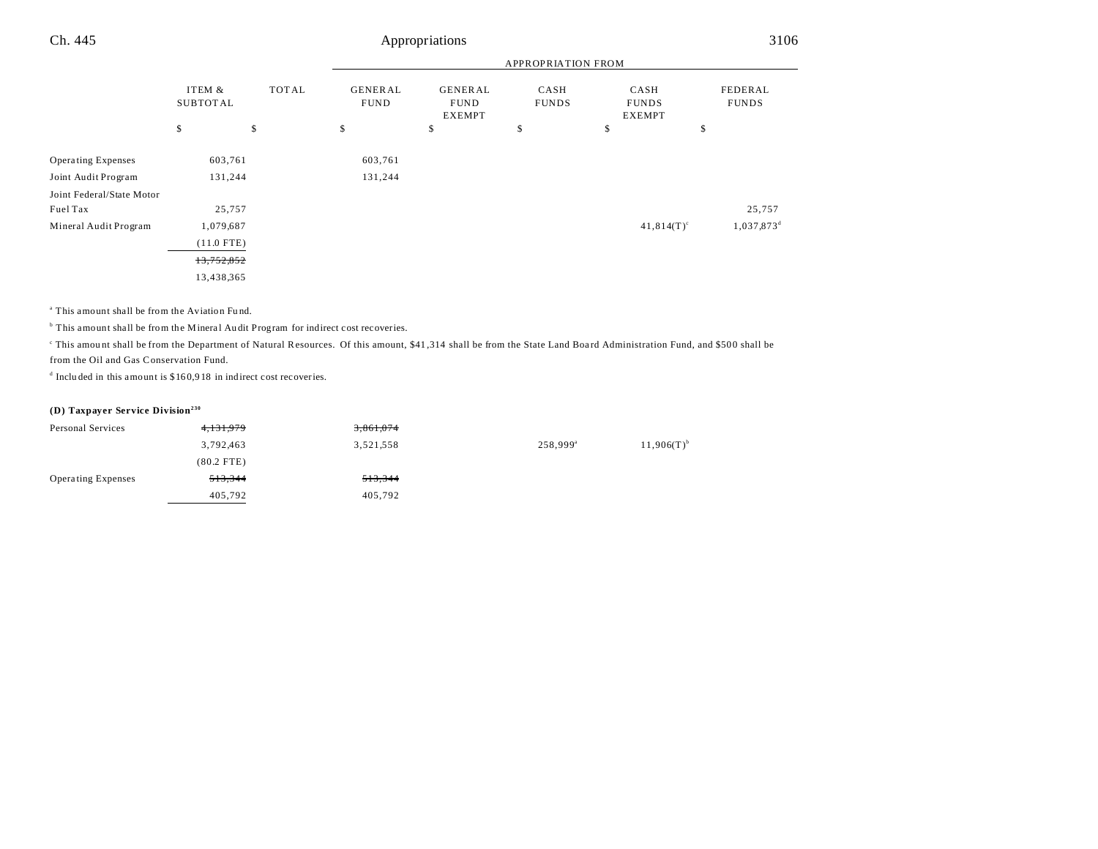|                           |                           |              | <b>APPROPRIATION FROM</b>     |                                                |                      |                                       |                         |
|---------------------------|---------------------------|--------------|-------------------------------|------------------------------------------------|----------------------|---------------------------------------|-------------------------|
|                           | ITEM &<br><b>SUBTOTAL</b> | <b>TOTAL</b> | <b>GENERAL</b><br><b>FUND</b> | <b>GENERAL</b><br><b>FUND</b><br><b>EXEMPT</b> | CASH<br><b>FUNDS</b> | CASH<br><b>FUNDS</b><br><b>EXEMPT</b> | FEDERAL<br><b>FUNDS</b> |
|                           | \$                        | \$           | \$                            | \$                                             | \$                   | \$                                    | \$                      |
| <b>Operating Expenses</b> | 603,761                   |              | 603,761                       |                                                |                      |                                       |                         |
| Joint Audit Program       | 131,244                   |              | 131,244                       |                                                |                      |                                       |                         |
| Joint Federal/State Motor |                           |              |                               |                                                |                      |                                       |                         |
| Fuel Tax                  | 25,757                    |              |                               |                                                |                      |                                       | 25,757                  |
| Mineral Audit Program     | 1,079,687                 |              |                               |                                                |                      | $41,814(T)^c$                         | 1,037,873 <sup>d</sup>  |
|                           | $(11.0$ FTE)              |              |                               |                                                |                      |                                       |                         |
|                           | 13,752,852                |              |                               |                                                |                      |                                       |                         |
|                           | 13,438,365                |              |                               |                                                |                      |                                       |                         |

a This amount shall be from the Aviation Fu nd.

<sup>b</sup> This amount shall be from the Mineral Audit Program for indirect cost recoveries.

This amount shall be from the Department of Natural Resources. Of this amount, \$41,314 shall be from the State Land Board Administration Fund, and \$500 shall be from the Oil and Gas Conservation Fund.

d Inclu ded in this amount is \$16 0,9 18 in indirect cost recoveries.

### **(D) Taxpayer Service Division<sup>230</sup>**

| Personal Services         | 4 <del>, 131, 979</del> | 3,861,074 |                   |                 |
|---------------------------|-------------------------|-----------|-------------------|-----------------|
|                           | 3,792,463               | 3,521,558 | $258,999^{\rm a}$ | $11,906(T)^{b}$ |
|                           | $(80.2$ FTE)            |           |                   |                 |
| <b>Operating Expenses</b> | 513,344                 | 513,344   |                   |                 |
|                           | 405,792                 | 405,792   |                   |                 |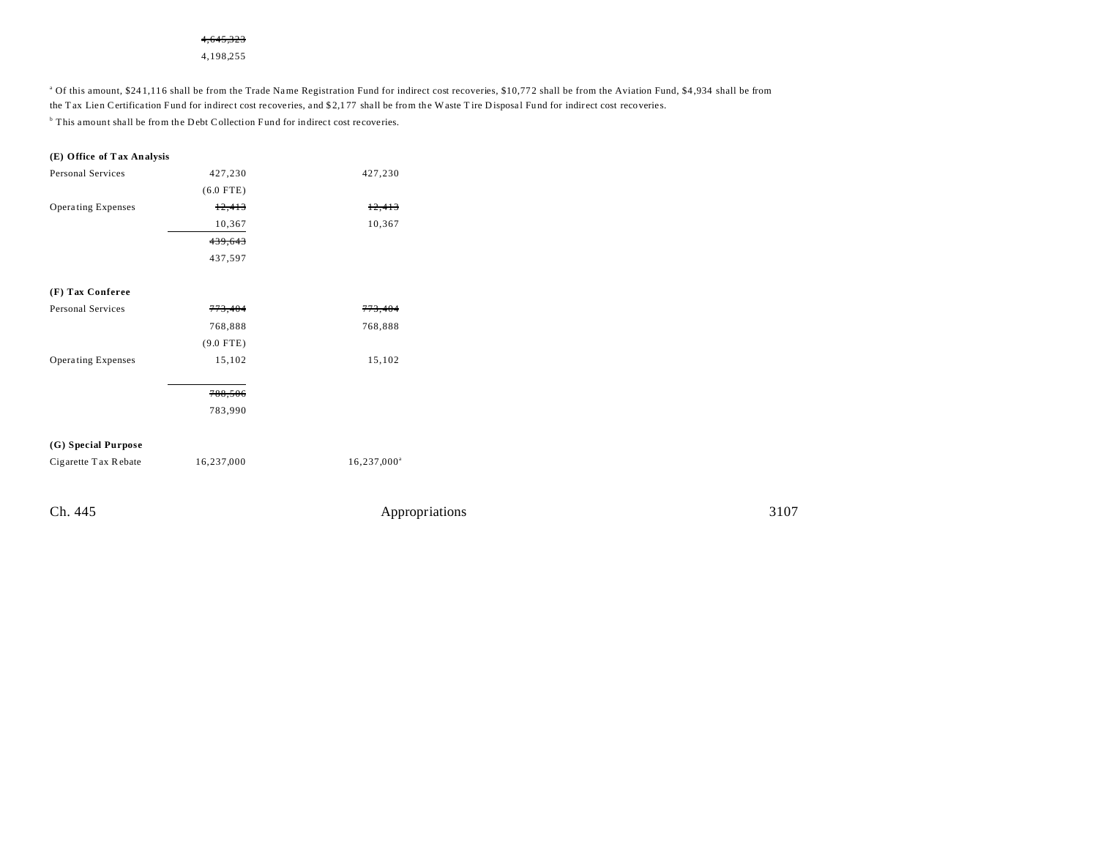### 4,645,323

4,198,255

<sup>a</sup> Of this amount, \$241,116 shall be from the Trade Name Registration Fund for indirect cost recoveries, \$10,772 shall be from the Aviation Fund, \$4,934 shall be from the T ax Lien Certification Fund for indirect cost recoveries, and \$2,177 shall be from the Waste T ire Disposal Fund for indirect cost recoveries. <sup>b</sup> This amount shall be from the Debt Collection Fund for indirect cost recoveries.

#### **(E) Office of Tax Analysis**

| Personal Services         | 427,230     | 427,230 |
|---------------------------|-------------|---------|
|                           | $(6.0$ FTE) |         |
| <b>Operating Expenses</b> | 12,413      | 12,413  |
|                           | 10,367      | 10,367  |
|                           | 439,643     |         |
|                           | 437,597     |         |
|                           |             |         |

# **(F) Tax Conferee** Personal Services 773,404 773,404 768,888 768,888 (9.0 FTE) Operating Expenses 15,102 15,102

788,506 783,990

### **(G) Special Purpose**

Cigarette T ax R ebate  $16,237,000$   $16,237,000^{\circ}$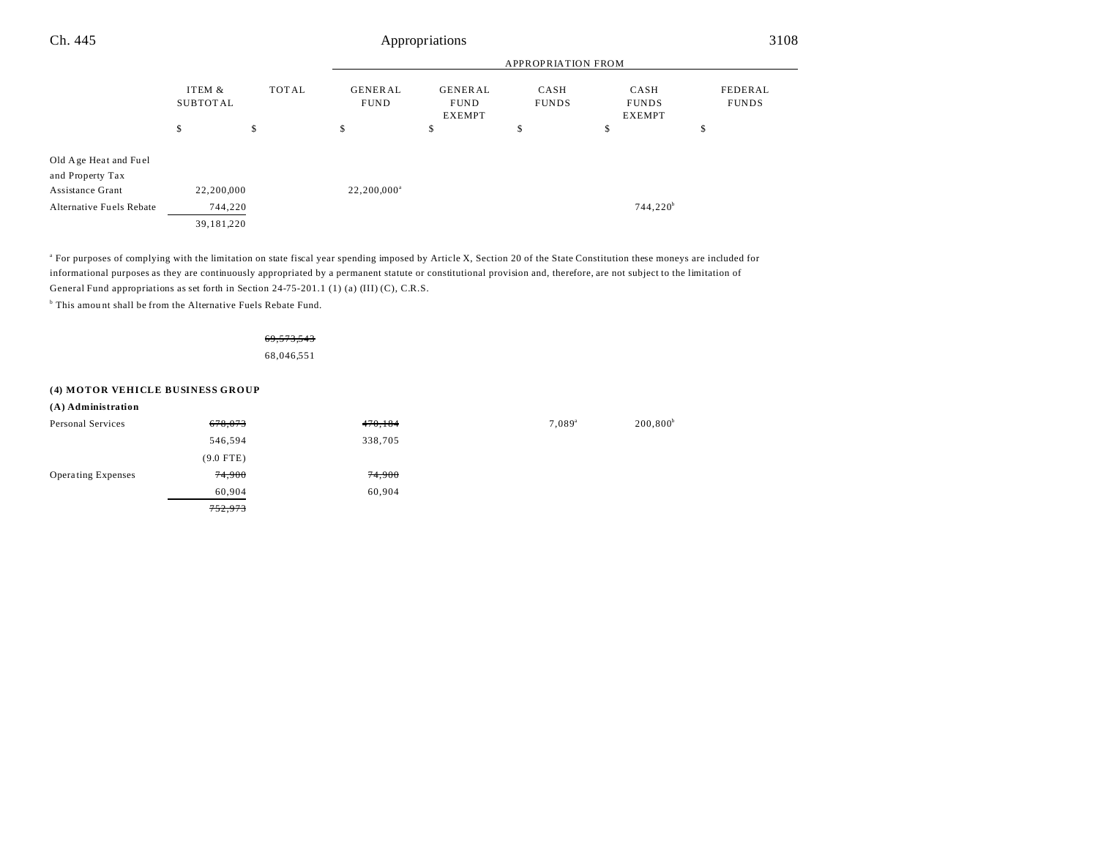| Ch. 445                                                       | Appropriations              |                               |                                                |                           |                                       | 3108                    |    |
|---------------------------------------------------------------|-----------------------------|-------------------------------|------------------------------------------------|---------------------------|---------------------------------------|-------------------------|----|
|                                                               |                             |                               |                                                | <b>APPROPRIATION FROM</b> |                                       |                         |    |
|                                                               | TOTAL<br>ITEM &<br>SUBTOTAL | <b>GENERAL</b><br><b>FUND</b> | <b>GENERAL</b><br><b>FUND</b><br><b>EXEMPT</b> | CASH<br><b>FUNDS</b>      | CASH<br><b>FUNDS</b><br><b>EXEMPT</b> | FEDERAL<br><b>FUNDS</b> |    |
|                                                               | \$                          | \$                            | \$                                             | \$                        | \$                                    | \$                      | J. |
| Old Age Heat and Fuel<br>and Property Tax<br>Assistance Grant | 22,200,000                  |                               | $22,200,000^{\circ}$                           |                           |                                       |                         |    |
| Alternative Fuels Rebate                                      | 744,220                     |                               |                                                |                           |                                       | $744,220^b$             |    |
|                                                               | 39,181,220                  |                               |                                                |                           |                                       |                         |    |

a For purposes of complying with the limitation on state fiscal year spending imposed by Article X, Section 20 of the State Constitution these moneys are included for informational purposes as they are continuously appropriated by a permanent statute or constitutional provision and, therefore, are not subject to the limitation of General Fund appropriations as set forth in Section 24-75-201.1 (1) (a) (III) (C), C.R.S.

<sup>b</sup> This amount shall be from the Alternative Fuels Rebate Fund.

69,573,543

68,046,551

### **(4) MOTOR VEHICLE BUSINESS GROUP**

| (A) Administration        |             |         |                 |             |
|---------------------------|-------------|---------|-----------------|-------------|
| Personal Services         | 678,073     | 470,184 | $7,089^{\circ}$ | $200,800^b$ |
|                           | 546,594     | 338,705 |                 |             |
|                           | $(9.0$ FTE) |         |                 |             |
| <b>Operating Expenses</b> | 74,900      | 74,900  |                 |             |
|                           | 60,904      | 60,904  |                 |             |
|                           | 752,973     |         |                 |             |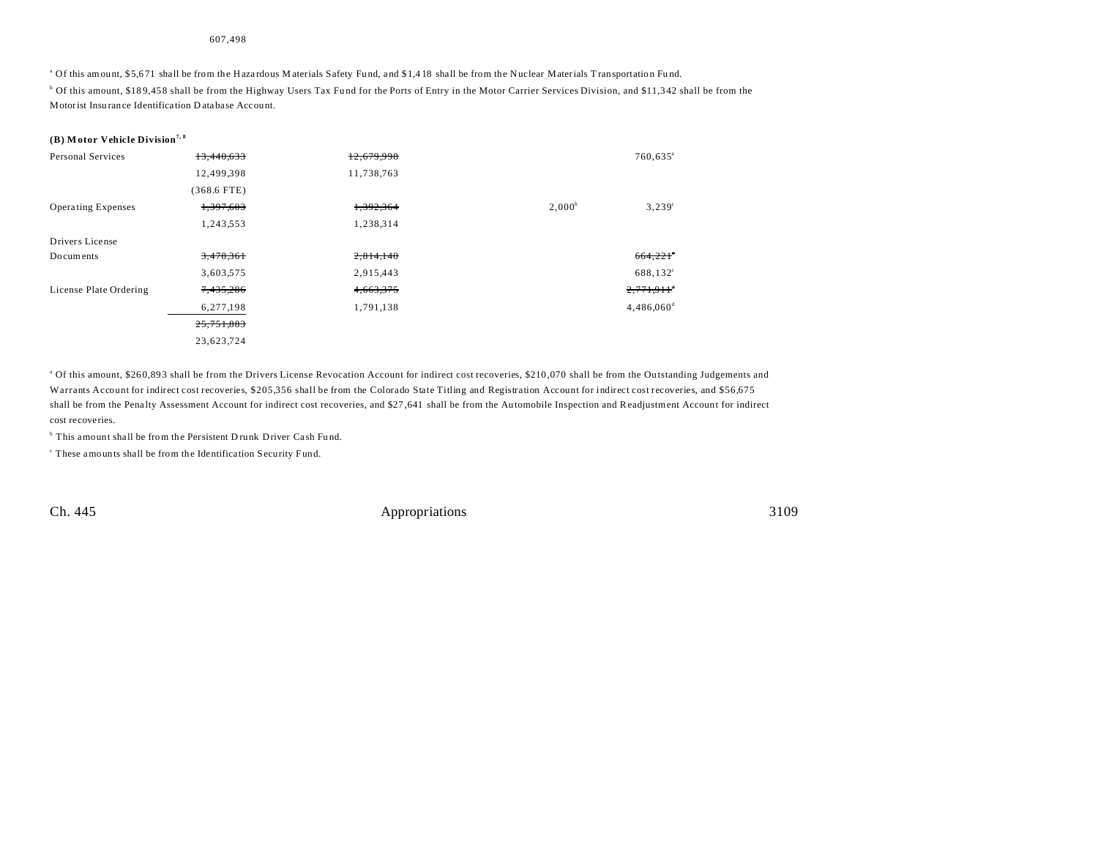#### 607,498

<sup>a</sup> Of this amount, \$5,671 shall be from the Hazardous Materials Safety Fund, and \$1,418 shall be from the Nuclear Materials Transportation Fund. b Of this amount, \$18 9,45 8 shall be from the Highway Users Tax Fu nd for the Ports of Entry in the Motor Carrier Services Division, and \$11,3 42 shall be from the Motorist Insu rance Identifica tion D ata base Account.

#### **(B) M otor Vehicle Division7, 8**

| <b>Personal Services</b>  | 13.440.633    | 12.679.998 |           | $760,635$ <sup>a</sup>   |
|---------------------------|---------------|------------|-----------|--------------------------|
|                           | 12,499,398    | 11,738,763 |           |                          |
|                           | $(368.6$ FTE) |            |           |                          |
| <b>Operating Expenses</b> | 1,397,603     | 1,392,364  | $2,000^b$ | $3,239^{\circ}$          |
|                           | 1,243,553     | 1,238,314  |           |                          |
| Drivers License           |               |            |           |                          |
| Documents                 | 3,478,361     | 2,814,140  |           | 664,221                  |
|                           | 3,603,575     | 2,915,443  |           | 688,132 <sup>c</sup>     |
| License Plate Ordering    | 7,435,286     | 4,663,375  |           | $2,771,911$ <sup>*</sup> |
|                           | 6,277,198     | 1,791,138  |           | $4,486,060$ <sup>d</sup> |
|                           | 25,751,883    |            |           |                          |
|                           | 23,623,724    |            |           |                          |

<sup>a</sup> Of this amount, \$260,893 shall be from the Drivers License Revocation Account for indirect cost recoveries, \$210,070 shall be from the Outstanding Judgements and Warrants Account for indirect cost recoveries, \$205,356 shall be from the Colorado State Titling and Registration Account for indirect cost recoveries, and \$56,675 shall be from the Penalty Assessment Account for indirect cost recoveries, and \$27,641 shall be from the Automobile Inspection and Readjustment Account for indirect cost recoveries.

<sup>b</sup> This amount shall be from the Persistent Drunk Driver Cash Fund.

c These amounts shall be from the Identifica tion Security Fund.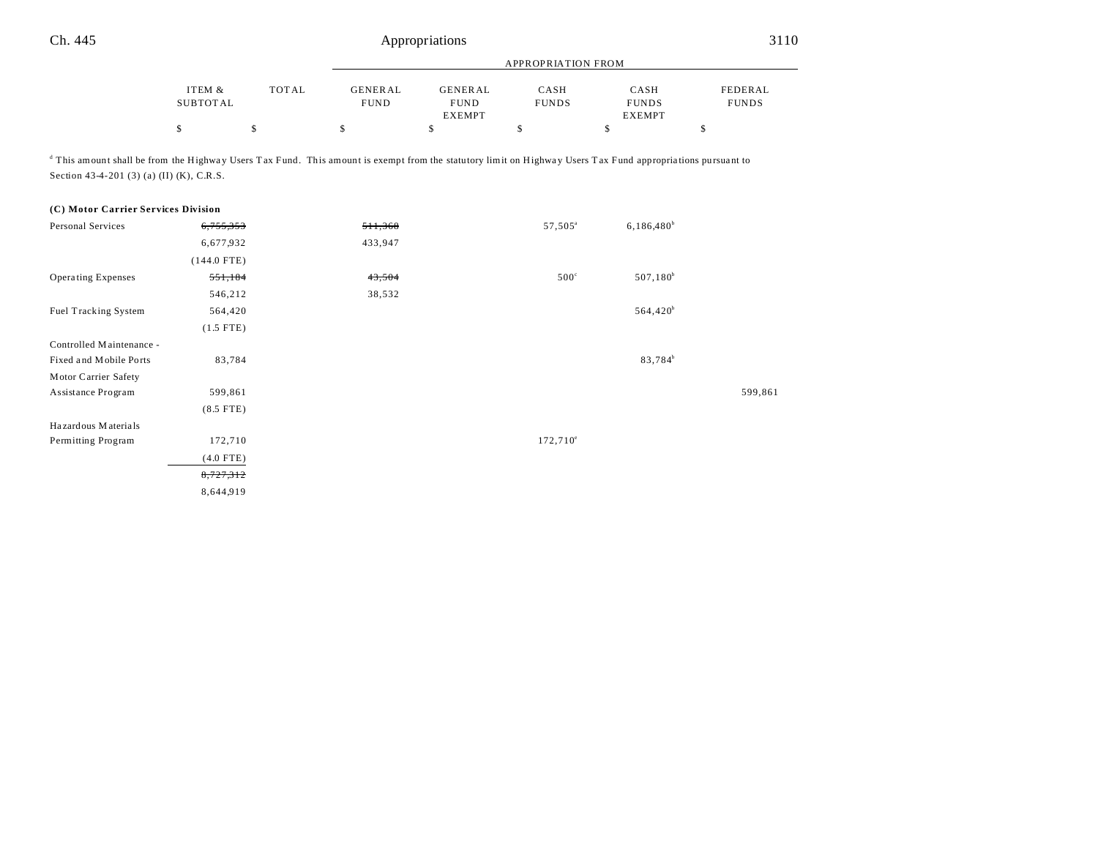|          |       |                | <b>APPROPRIATION FROM</b> |              |               |              |  |
|----------|-------|----------------|---------------------------|--------------|---------------|--------------|--|
|          |       |                |                           |              |               |              |  |
| ITEM &   | TOTAL | <b>GENERAL</b> | <b>GENERAL</b>            | CASH         | CASH          | FEDERAL      |  |
| SUBTOTAL |       | <b>FUND</b>    | <b>FUND</b>               | <b>FUNDS</b> | <b>FUNDS</b>  | <b>FUNDS</b> |  |
|          |       |                | <b>EXEMPT</b>             |              | <b>EXEMPT</b> |              |  |
|          |       |                |                           |              |               |              |  |

This amount shall be from the Highway Users Tax Fund. This amount is exempt from the statutory limit on Highway Users Tax Fund appropriations pursuant to Section 43-4-201 (3) (a) (II) (K), C.R.S.

#### **(C) Motor Carrier Services Division**

| Personal Services         | 6,755,353     | 511,368 | 57,505 <sup>a</sup> | $6,186,480^b$       |         |
|---------------------------|---------------|---------|---------------------|---------------------|---------|
|                           | 6,677,932     | 433,947 |                     |                     |         |
|                           | $(144.0$ FTE) |         |                     |                     |         |
| <b>Operating Expenses</b> | 551,184       | 43,504  | $500^\circ$         | $507,180^b$         |         |
|                           | 546,212       | 38,532  |                     |                     |         |
| Fuel Tracking System      | 564,420       |         |                     | $564,420^b$         |         |
|                           | $(1.5$ FTE)   |         |                     |                     |         |
| Controlled Maintenance -  |               |         |                     |                     |         |
| Fixed and Mobile Ports    | 83,784        |         |                     | 83,784 <sup>b</sup> |         |
| Motor Carrier Safety      |               |         |                     |                     |         |
| Assistance Program        | 599,861       |         |                     |                     | 599,861 |
|                           | $(8.5$ FTE)   |         |                     |                     |         |
| Hazardous Materials       |               |         |                     |                     |         |
| Permitting Program        | 172,710       |         | $172,710^{\circ}$   |                     |         |
|                           | $(4.0$ FTE)   |         |                     |                     |         |
|                           | 8,727,312     |         |                     |                     |         |
|                           | 8,644,919     |         |                     |                     |         |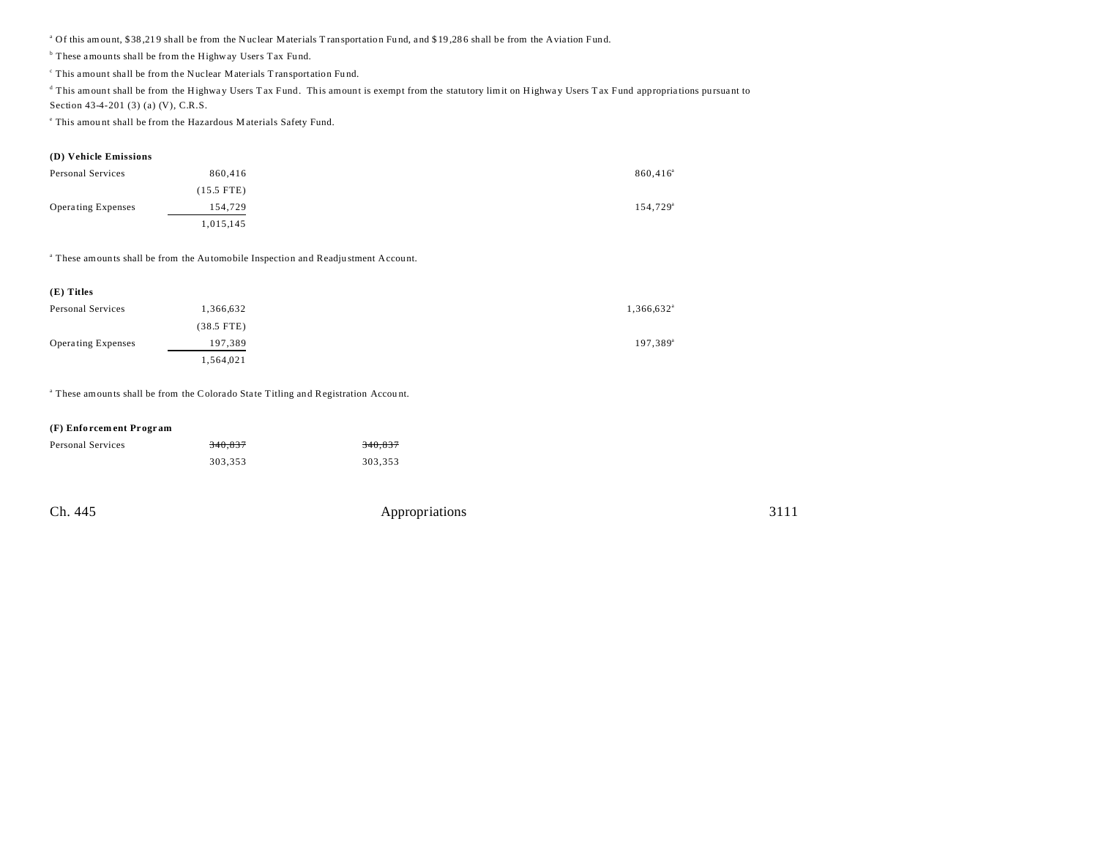<sup>a</sup> Of this amount, \$38,219 shall be from the Nuclear Materials Transportation Fund, and \$19,286 shall be from the Aviation Fund.

<sup>b</sup> These amounts shall be from the Highway Users Tax Fund.

c This amount shall be from the Nuclear Materials T ransportation Fu nd.

<sup>d</sup> This amount shall be from the Highway Users Tax Fund. This amount is exempt from the statutory limit on Highway Users Tax Fund appropriations pursuant to

Section 43-4-201 (3) (a) (V), C.R.S.

e This amou nt shall be from the Hazardous M aterials Safety Fund.

#### **(D) Vehicle Emissions**

| <b>Personal Services</b>  | 860,416      | 860,416 <sup>a</sup> |
|---------------------------|--------------|----------------------|
|                           | $(15.5$ FTE) |                      |
| <b>Operating Expenses</b> | 154,729      | 154,729 <sup>a</sup> |
|                           | 1,015,145    |                      |

<sup>a</sup> These amounts shall be from the Automobile Inspection and Readjustment Account.

| $(E)$ Titles              |              |                          |                   |
|---------------------------|--------------|--------------------------|-------------------|
| Personal Services         | 1,366,632    | $1,366,632$ <sup>a</sup> |                   |
|                           | $(38.5$ FTE) |                          |                   |
| <b>Operating Expenses</b> | 197,389      |                          | $197,389^{\circ}$ |
|                           | 1,564,021    |                          |                   |

<sup>a</sup> These amounts shall be from the Colorado State Titling and Registration Account.

#### **(F) Enfo rcem ent Pr ogr am**

| Personal Services | 340.837 | 340.837 |
|-------------------|---------|---------|
|                   | 303.353 | 303.353 |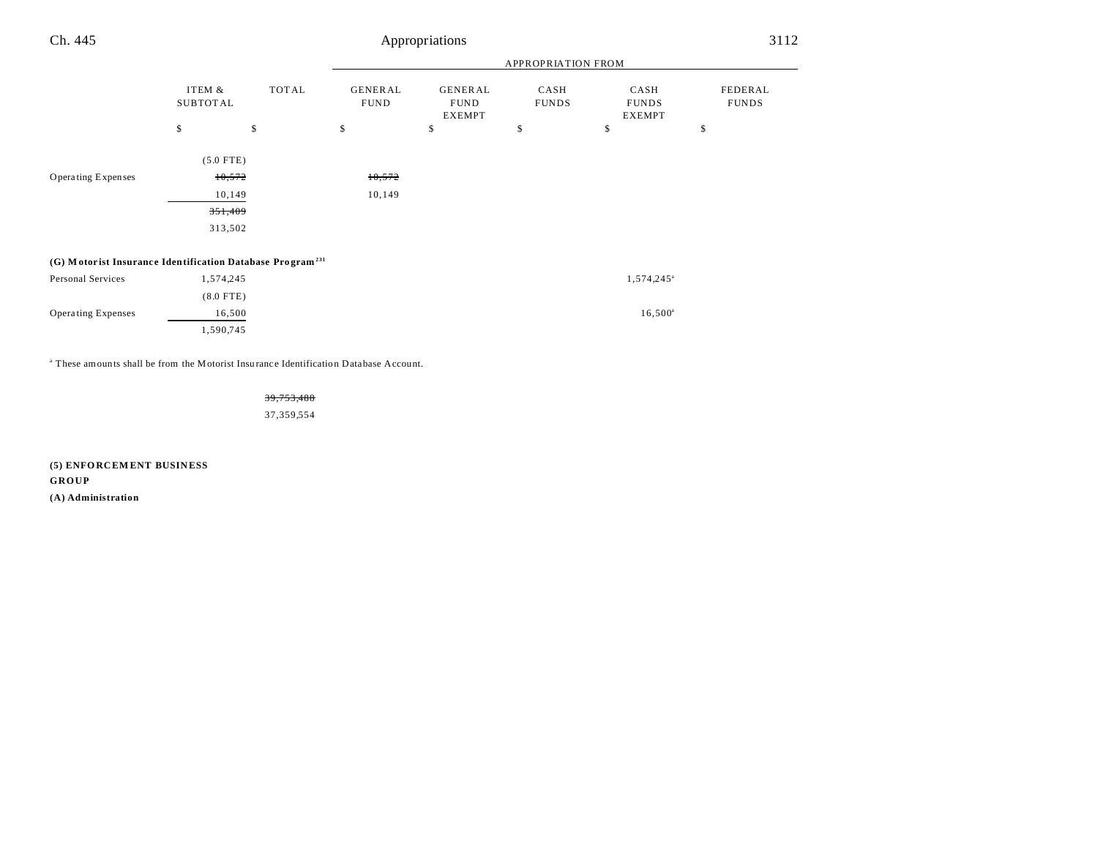| Ch. 445                                                               |                           |              |                               | Appropriations                                 |                      |                                       | 3112                    |
|-----------------------------------------------------------------------|---------------------------|--------------|-------------------------------|------------------------------------------------|----------------------|---------------------------------------|-------------------------|
|                                                                       |                           |              |                               |                                                | APPROPRIATION FROM   |                                       |                         |
|                                                                       | ITEM &<br><b>SUBTOTAL</b> | TOTAL        | <b>GENERAL</b><br><b>FUND</b> | <b>GENERAL</b><br><b>FUND</b><br><b>EXEMPT</b> | CASH<br><b>FUNDS</b> | CASH<br><b>FUNDS</b><br><b>EXEMPT</b> | FEDERAL<br><b>FUNDS</b> |
|                                                                       | \$                        | $\mathbb{S}$ | \$                            | \$                                             | \$                   | \$                                    | \$                      |
|                                                                       | $(5.0$ FTE)               |              |                               |                                                |                      |                                       |                         |
| Operating Expenses                                                    | 10,572                    |              | 10,572                        |                                                |                      |                                       |                         |
|                                                                       | 10,149                    |              | 10,149                        |                                                |                      |                                       |                         |
|                                                                       | 351,409                   |              |                               |                                                |                      |                                       |                         |
|                                                                       | 313,502                   |              |                               |                                                |                      |                                       |                         |
| (G) Motorist Insurance Identification Database Program <sup>231</sup> |                           |              |                               |                                                |                      |                                       |                         |
| Personal Services                                                     | 1,574,245                 |              |                               |                                                |                      | 1,574,245 <sup>a</sup>                |                         |
|                                                                       | $(8.0$ FTE)               |              |                               |                                                |                      |                                       |                         |
| <b>Operating Expenses</b>                                             | 16,500                    |              |                               |                                                |                      | $16,500^{\circ}$                      |                         |
|                                                                       | 1,590,745                 |              |                               |                                                |                      |                                       |                         |

<sup>a</sup> These amounts shall be from the Motorist Insurance Identification Database Account.

39,753,488 37,359,554

**(5) ENFO RCEM ENT BUSIN ESS GROUP (A) Administration**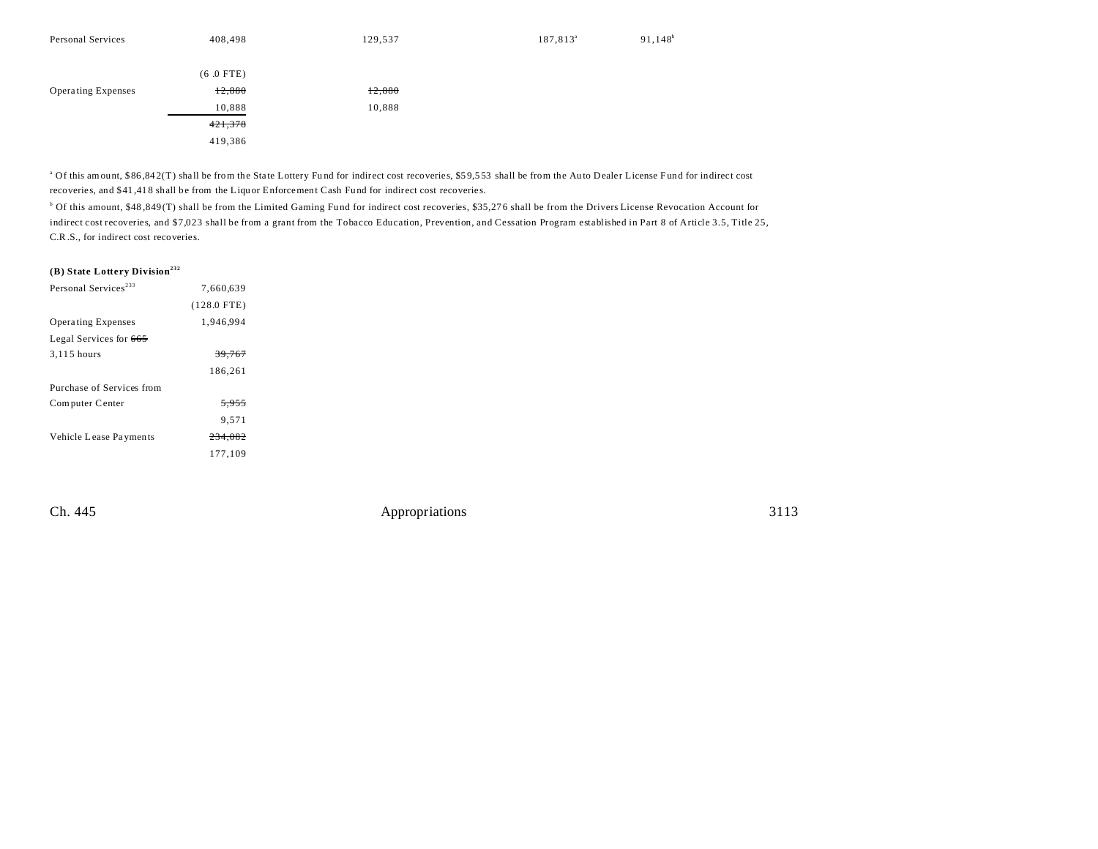| Personal Services         | 408,498     | 129,537 | 187,813 <sup>a</sup> | $91,148^b$ |
|---------------------------|-------------|---------|----------------------|------------|
|                           |             |         |                      |            |
|                           | $(6.0$ FTE) |         |                      |            |
| <b>Operating Expenses</b> | 12,880      | 12,880  |                      |            |
|                           | 10,888      | 10,888  |                      |            |
|                           | 421,378     |         |                      |            |
|                           | 419,386     |         |                      |            |

<sup>a</sup> Of this amount, \$86,842(T) shall be from the State Lottery Fund for indirect cost recoveries, \$59,553 shall be from the Auto Dealer License Fund for indirect cost recoveries, and \$41 ,41 8 shall be from the Liquor Enforcement Cash Fu nd for indirect cost recoveries.

b Of this amount, \$48 ,849 (T) shall be from the Limited Gaming Fund for indirect cost recoveries, \$35,27 6 shall be from the Drivers License Revocation Account for indirect cost recoveries, and \$7,023 shall be from a grant from the Tobacco Education, Prevention, and Cessation Program established in Part 8 of Article 3.5, Title 25, C.R.S., for indirect cost recoveries.

### **(B) State Lottery Division<sup>232</sup>**

| Personal Services <sup>233</sup> | 7.660.639        |  |
|----------------------------------|------------------|--|
|                                  | $(128.0$ FTE)    |  |
| <b>Operating Expenses</b>        | 1.946.994        |  |
| Legal Services for 665           |                  |  |
| 3,115 hours                      | 39.767           |  |
|                                  | 186.261          |  |
| Purchase of Services from        |                  |  |
| Computer Center                  | <del>5.955</del> |  |
|                                  | 9.571            |  |
| Vehicle Lease Payments           | 234.082          |  |
|                                  | 177,109          |  |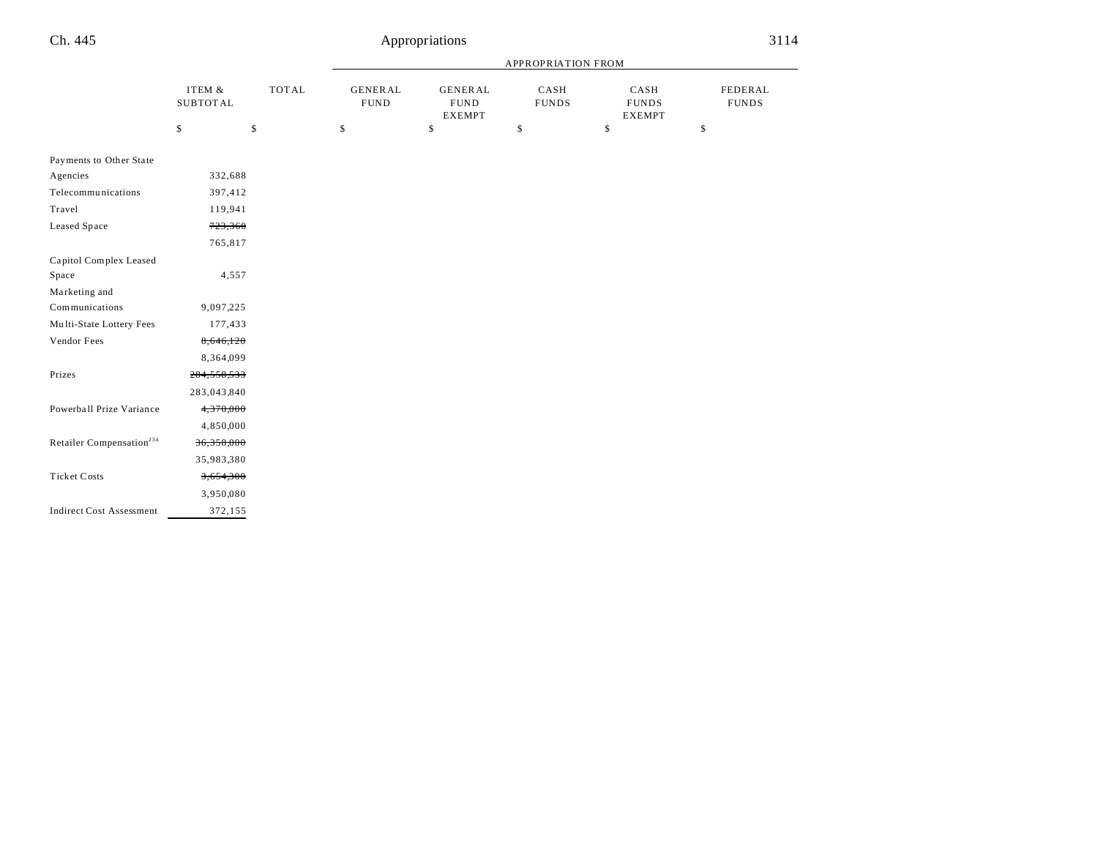|                                      |                           | <b>APPROPRIATION FROM</b> |                                |                                                |                      |                                       |                         |
|--------------------------------------|---------------------------|---------------------------|--------------------------------|------------------------------------------------|----------------------|---------------------------------------|-------------------------|
|                                      | ITEM &<br><b>SUBTOTAL</b> | TOTAL                     | <b>GENERAL</b><br>${\tt FUND}$ | <b>GENERAL</b><br><b>FUND</b><br><b>EXEMPT</b> | CASH<br><b>FUNDS</b> | CASH<br><b>FUNDS</b><br><b>EXEMPT</b> | FEDERAL<br><b>FUNDS</b> |
|                                      | \$<br>\$                  |                           | \$                             | \$                                             | \$                   | \$                                    | \$                      |
| Payments to Other State              |                           |                           |                                |                                                |                      |                                       |                         |
| Agencies                             | 332,688                   |                           |                                |                                                |                      |                                       |                         |
| Telecommunications                   | 397,412                   |                           |                                |                                                |                      |                                       |                         |
| Travel                               | 119,941                   |                           |                                |                                                |                      |                                       |                         |
| Leased Space                         | 723,360                   |                           |                                |                                                |                      |                                       |                         |
|                                      | 765,817                   |                           |                                |                                                |                      |                                       |                         |
| Capitol Complex Leased               |                           |                           |                                |                                                |                      |                                       |                         |
| Space                                | 4,557                     |                           |                                |                                                |                      |                                       |                         |
| Marketing and                        |                           |                           |                                |                                                |                      |                                       |                         |
| Communications                       | 9,097,225                 |                           |                                |                                                |                      |                                       |                         |
| Multi-State Lottery Fees             | 177,433                   |                           |                                |                                                |                      |                                       |                         |
| Vendor Fees                          | 8,646,120                 |                           |                                |                                                |                      |                                       |                         |
|                                      | 8,364,099                 |                           |                                |                                                |                      |                                       |                         |
| Prizes                               | 284,558,533               |                           |                                |                                                |                      |                                       |                         |
|                                      | 283,043,840               |                           |                                |                                                |                      |                                       |                         |
| Powerball Prize Variance             | 4,370,000                 |                           |                                |                                                |                      |                                       |                         |
|                                      | 4,850,000                 |                           |                                |                                                |                      |                                       |                         |
| Retailer Compensation <sup>234</sup> | 36,358,000                |                           |                                |                                                |                      |                                       |                         |
|                                      | 35,983,380                |                           |                                |                                                |                      |                                       |                         |
| <b>Ticket Costs</b>                  | 3,654,300                 |                           |                                |                                                |                      |                                       |                         |
|                                      | 3,950,080                 |                           |                                |                                                |                      |                                       |                         |
| <b>Indirect Cost Assessment</b>      | 372,155                   |                           |                                |                                                |                      |                                       |                         |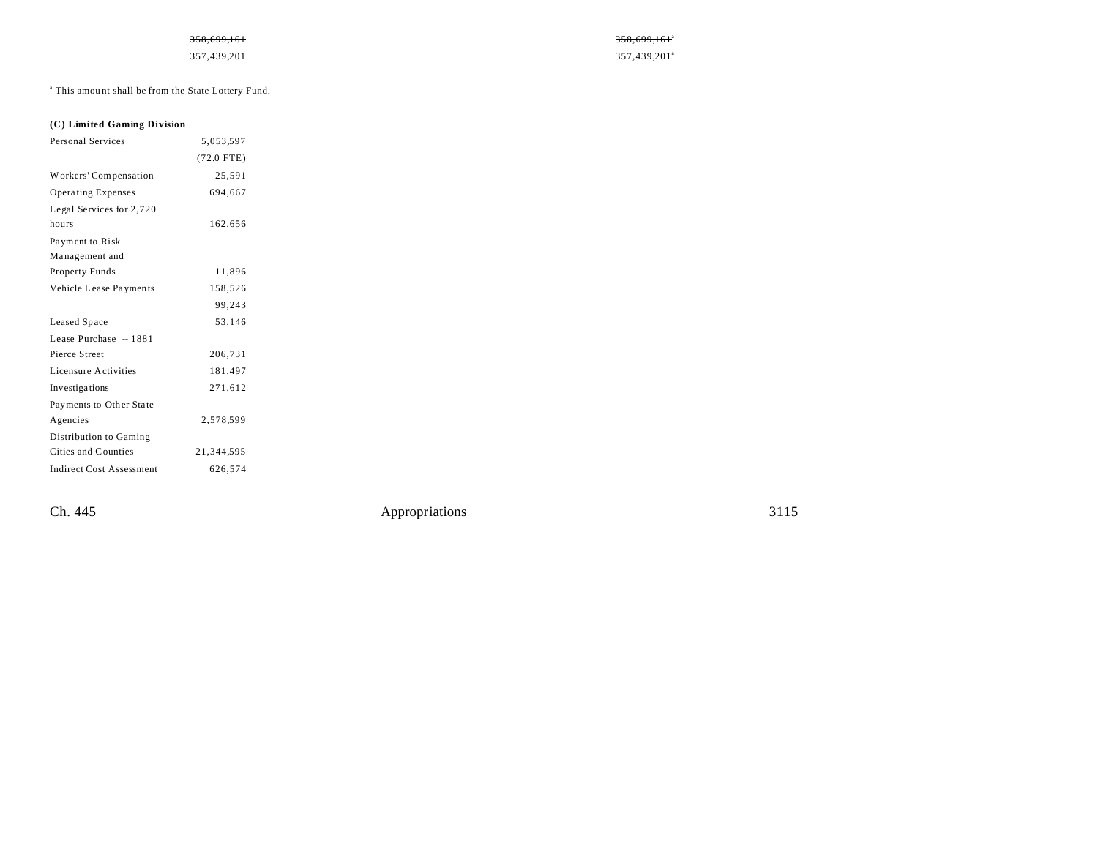### $358,699,161$   $358,699,161$

357,439,201<sup>a</sup> 357,439,201<sup>a</sup>

<sup>a</sup> This amount shall be from the State Lottery Fund.

## **(C) Limited Gaming Division**

| <b>Personal Services</b>        | 5,053,597    |  |
|---------------------------------|--------------|--|
|                                 | $(72.0$ FTE) |  |
| Workers' Compensation           | 25,591       |  |
| <b>Operating Expenses</b>       | 694,667      |  |
| Legal Services for 2,720        |              |  |
| hours                           | 162,656      |  |
| Payment to Risk                 |              |  |
| Management and                  |              |  |
| Property Funds                  | 11,896       |  |
| Vehicle Lease Payments          | 158,526      |  |
|                                 | 99,243       |  |
| Leased Space                    | 53,146       |  |
| Lease Purchase - 1881           |              |  |
| Pierce Street                   | 206,731      |  |
| Licensure Activities            | 181,497      |  |
| Investigations                  | 271,612      |  |
| Payments to Other State         |              |  |
| Agencies                        | 2,578,599    |  |
| Distribution to Gaming          |              |  |
| Cities and Counties             | 21,344,595   |  |
| <b>Indirect Cost Assessment</b> | 626,574      |  |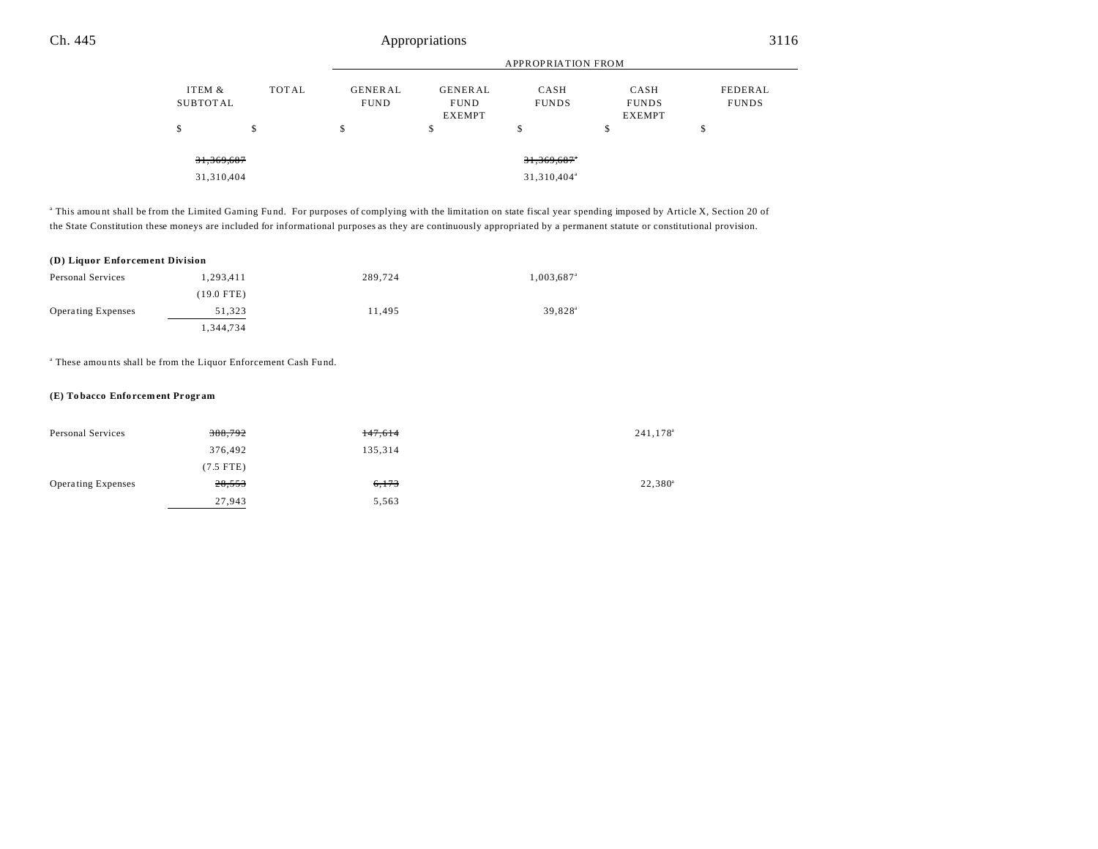|                           |       | <b>APPROPRIATION FROM</b>     |                                                |                                        |                                       |                         |  |
|---------------------------|-------|-------------------------------|------------------------------------------------|----------------------------------------|---------------------------------------|-------------------------|--|
| ITEM &<br><b>SUBTOTAL</b> | TOTAL | <b>GENERAL</b><br><b>FUND</b> | <b>GENERAL</b><br><b>FUND</b><br><b>EXEMPT</b> | CASH<br><b>FUNDS</b>                   | CASH<br><b>FUNDS</b><br><b>EXEMPT</b> | FEDERAL<br><b>FUNDS</b> |  |
| \$                        | \$    | \$                            | \$                                             | \$                                     | \$                                    | \$                      |  |
| 31,369,687<br>31,310,404  |       |                               |                                                | 31,369,687*<br>31,310,404 <sup>a</sup> |                                       |                         |  |

<sup>a</sup> This amount shall be from the Limited Gaming Fund. For purposes of complying with the limitation on state fiscal year spending imposed by Article X, Section 20 of the State Constitution these moneys are included for informational purposes as they are continuously appropriated by a permanent statute or constitutional provision.

#### **(D) Liquor Enforcement Division**

| Personal Services         | 1.293.411    | 289,724 | 1,003,687 <sup>a</sup> |
|---------------------------|--------------|---------|------------------------|
|                           | $(19.0$ FTE) |         |                        |
| <b>Operating Expenses</b> | 51.323       | 11.495  | 39.828 <sup>a</sup>    |
|                           | 1,344,734    |         |                        |

<sup>a</sup> These amounts shall be from the Liquor Enforcement Cash Fund.

#### **(E) To bacco Enfo rcem ent Pr ogr am**

| Personal Services         | 388,792     | 147,614 | 241,178 <sup>a</sup> |
|---------------------------|-------------|---------|----------------------|
|                           | 376,492     | 135,314 |                      |
|                           | $(7.5$ FTE) |         |                      |
| <b>Operating Expenses</b> | 28,553      | 6,173   | $22,380^{\circ}$     |
|                           | 27,943      | 5,563   |                      |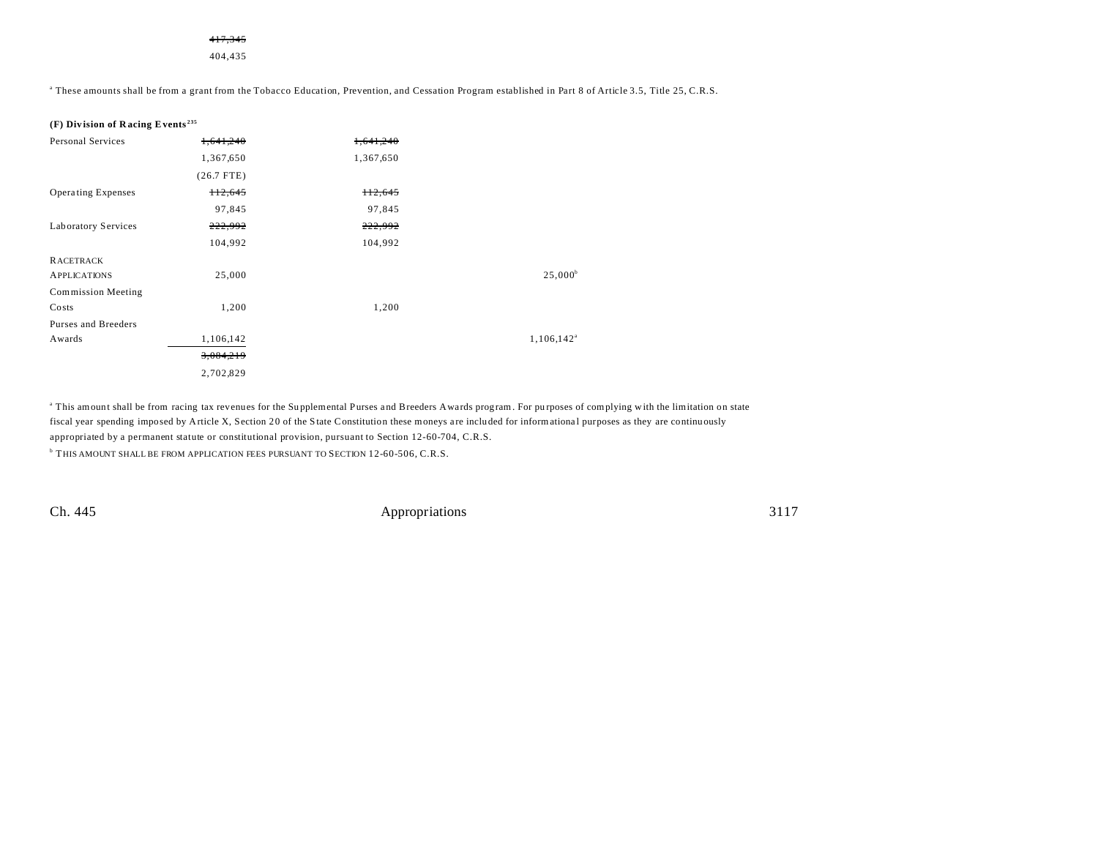417,345 404,435

a These amounts shall be from a grant from the Tobacco Education, Prevention, and Cessation Program established in Part 8 of Article 3.5, Title 25, C.R.S.

|  | (F) Division of Racing Events <sup>235</sup> |  |  |  |  |
|--|----------------------------------------------|--|--|--|--|
|--|----------------------------------------------|--|--|--|--|

| <b>Personal Services</b>  | 1.641.240    | 1.641.240 |                  |
|---------------------------|--------------|-----------|------------------|
|                           | 1,367,650    | 1,367,650 |                  |
|                           | $(26.7$ FTE) |           |                  |
| <b>Operating Expenses</b> | H2,645       | 112,645   |                  |
|                           | 97,845       | 97,845    |                  |
| Laboratory Services       | 222,992      | 222,992   |                  |
|                           | 104,992      | 104,992   |                  |
| <b>RACETRACK</b>          |              |           |                  |
| <b>APPLICATIONS</b>       | 25,000       |           | $25,000^{\rm b}$ |
| <b>Commission Meeting</b> |              |           |                  |
| Costs                     | 1,200        | 1,200     |                  |
| Purses and Breeders       |              |           |                  |
| Awards                    | 1,106,142    |           | $1,106,142^a$    |
|                           | 3,084,219    |           |                  |
|                           | 2,702,829    |           |                  |

This amount shall be from racing tax revenues for the Supplemental Purses and Breeders Awards program. For purposes of complying with the limitation on state fiscal year spending imposed by Article X, Section 20 of the State Constitution these moneys a re included for informationa l purposes as they are continuously appropriated by a permanent statute or constitutional provision, pursuant to Section 12-60-704, C.R.S.

b THIS AMOUNT SHALL BE FROM APPLICATION FEES PURSUANT TO SECTION 12-60-506, C.R.S.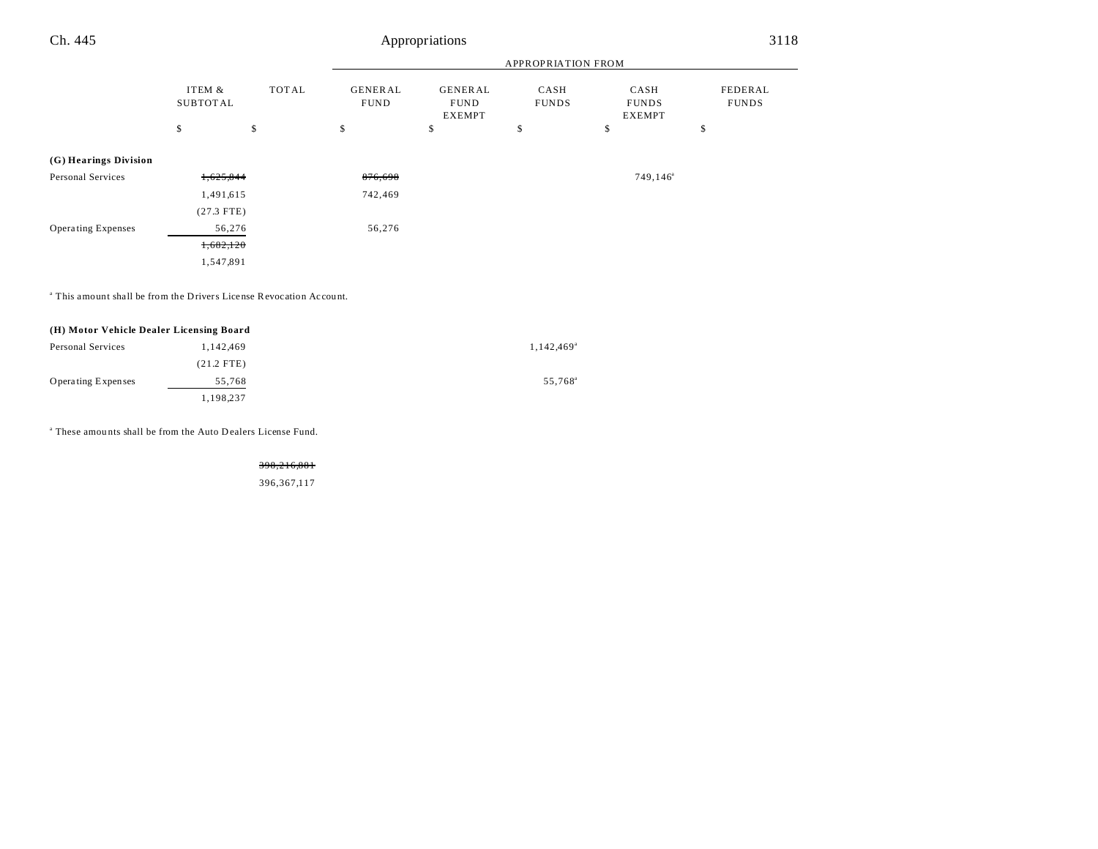| Ch. 445                   | Appropriations     |       |                               |                                                |                           |                                       | 3118                    |
|---------------------------|--------------------|-------|-------------------------------|------------------------------------------------|---------------------------|---------------------------------------|-------------------------|
|                           |                    |       |                               |                                                | <b>APPROPRIATION FROM</b> |                                       |                         |
|                           | ITEM &<br>SUBTOTAL | TOTAL | <b>GENERAL</b><br><b>FUND</b> | <b>GENERAL</b><br><b>FUND</b><br><b>EXEMPT</b> | CASH<br><b>FUNDS</b>      | CASH<br><b>FUNDS</b><br><b>EXEMPT</b> | FEDERAL<br><b>FUNDS</b> |
|                           | \$                 | \$    | \$                            | \$                                             | \$                        | \$                                    | \$                      |
| (G) Hearings Division     |                    |       |                               |                                                |                           |                                       |                         |
| Personal Services         | 1,625,844          |       | 876,698                       |                                                |                           | $749, 146^{\circ}$                    |                         |
|                           | 1,491,615          |       | 742,469                       |                                                |                           |                                       |                         |
|                           | $(27.3$ FTE)       |       |                               |                                                |                           |                                       |                         |
| <b>Operating Expenses</b> | 56,276             |       | 56,276                        |                                                |                           |                                       |                         |

 $\overline{\phantom{0}}$ 

1,682,120 1,547,891

a This amount shall be from the Drivers License Revocation Account.

## **(H) Motor Vehicle Dealer Licensing Board**

| Personal Services         | 1,142,469    | 1,142,469 <sup>a</sup> |
|---------------------------|--------------|------------------------|
|                           | $(21.2$ FTE) |                        |
| <b>Operating Expenses</b> | 55.768       | 55.768 <sup>a</sup>    |
|                           | 1,198,237    |                        |

a These amou nts shall be from the Auto Dealers License Fund.

398,216,881

396,367,117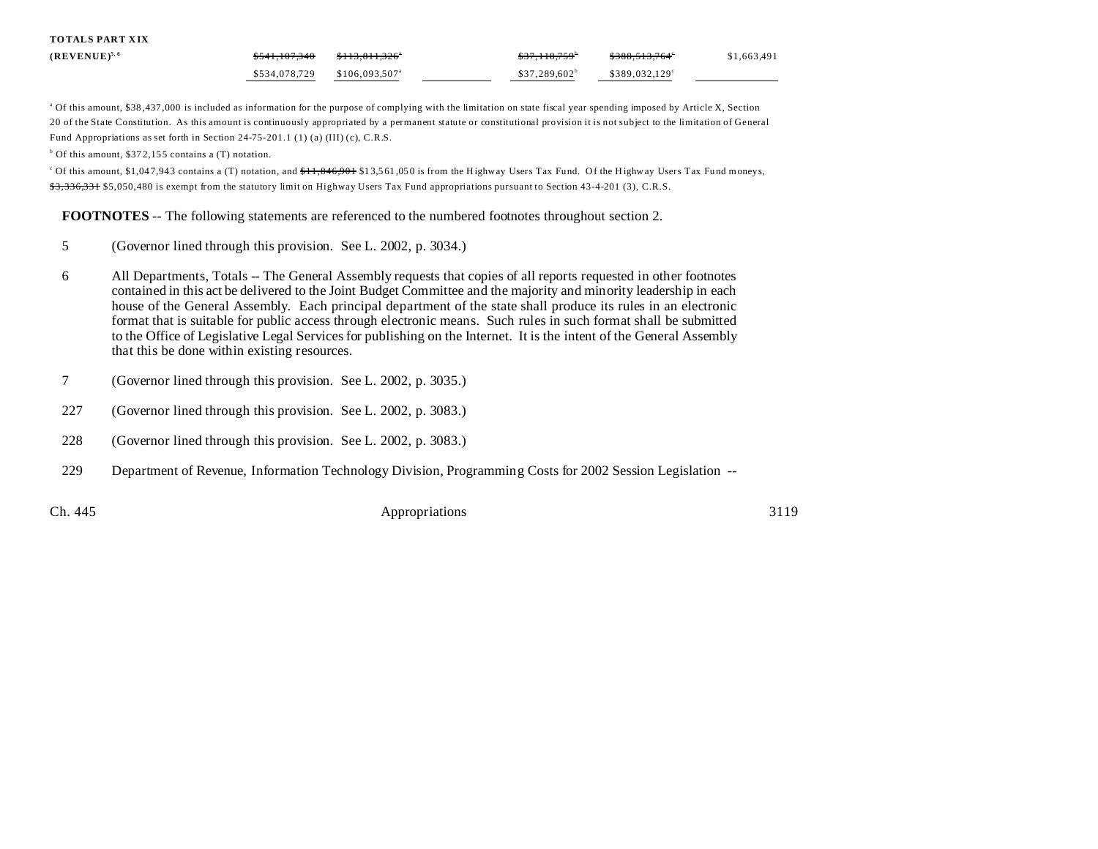| <b>TOTALS PART XIX</b> |               |                             |                         |                            |             |
|------------------------|---------------|-----------------------------|-------------------------|----------------------------|-------------|
| $(REVENUE)^{5,6}$      | \$541.107.340 | \$113,811,326°              | <del>\$37,118,759</del> | <del>\$388,513,764</del> ° | \$1,663,491 |
|                        | \$534,078,729 | $$106.093.507$ <sup>a</sup> | $$37.289.602^b$         | \$389.032.129°             |             |

<sup>a</sup> Of this amount, \$38,437,000 is included as information for the purpose of complying with the limitation on state fiscal year spending imposed by Article X, Section 20 of the State Constitution. As this amount is continuously appropriated by a permanent statute or constitutional provision it is not subject to the limitation of General Fund Appropriations as set forth in Section 24-75-201.1 (1) (a) (III) (c), C.R.S.

<sup>b</sup> Of this amount, \$372,155 contains a (T) notation.

<sup>c</sup> Of this amount, \$1,047,943 contains a (T) notation, and <del>\$11,846,901</del> \$13,561,050 is from the Highway Users Tax Fund. Of the Highway Users Tax Fund moneys, \$3,336,331 \$5,050,480 is exempt from the statutory limit on Highway Users Tax Fund appropriations pursuant to Section 43-4-201 (3), C.R.S.

**FOOTNOTES** -- The following statements are referenced to the numbered footnotes throughout section 2.

- 5 (Governor lined through this provision. See L. 2002, p. 3034.)
- 6 All Departments, Totals -- The General Assembly requests that copies of all reports requested in other footnotes contained in this act be delivered to the Joint Budget Committee and the majority and minority leadership in each house of the General Assembly. Each principal department of the state shall produce its rules in an electronic format that is suitable for public access through electronic means. Such rules in such format shall be submitted to the Office of Legislative Legal Services for publishing on the Internet. It is the intent of the General Assembly that this be done within existing resources.
- 7 (Governor lined through this provision. See L. 2002, p. 3035.)
- 227 (Governor lined through this provision. See L. 2002, p. 3083.)
- 228 (Governor lined through this provision. See L. 2002, p. 3083.)
- 229 Department of Revenue, Information Technology Division, Programming Costs for 2002 Session Legislation --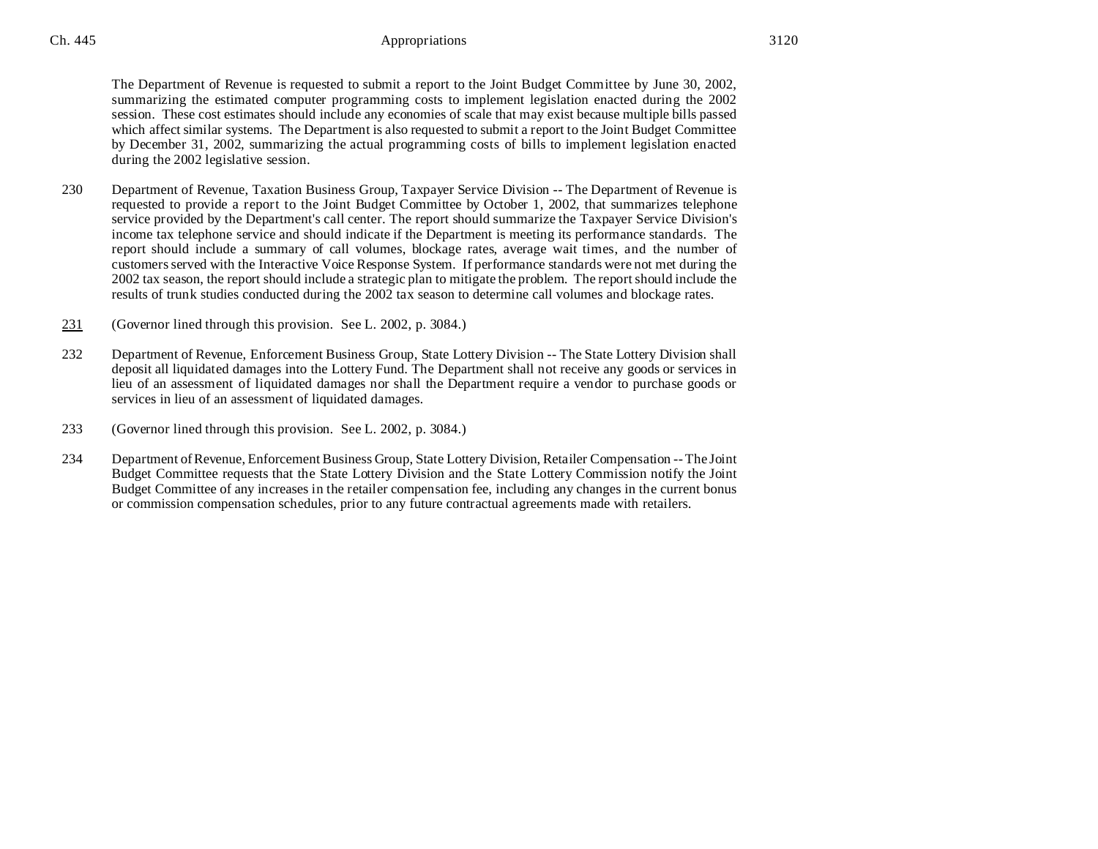The Department of Revenue is requested to submit a report to the Joint Budget Committee by June 30, 2002, summarizing the estimated computer programming costs to implement legislation enacted during the 2002 session. These cost estimates should include any economies of scale that may exist because multiple bills passed which affect similar systems. The Department is also requested to submit a report to the Joint Budget Committee by December 31, 2002, summarizing the actual programming costs of bills to implement legislation enacted during the 2002 legislative session.

- 230 Department of Revenue, Taxation Business Group, Taxpayer Service Division -- The Department of Revenue is requested to provide a report to the Joint Budget Committee by October 1, 2002, that summarizes telephone service provided by the Department's call center. The report should summarize the Taxpayer Service Division's income tax telephone service and should indicate if the Department is meeting its performance standards. The report should include a summary of call volumes, blockage rates, average wait times, and the number of customers served with the Interactive Voice Response System. If performance standards were not met during the 2002 tax season, the report should include a strategic plan to mitigate the problem. The report should include the results of trunk studies conducted during the 2002 tax season to determine call volumes and blockage rates.
- 231 (Governor lined through this provision. See L. 2002, p. 3084.)
- 232 Department of Revenue, Enforcement Business Group, State Lottery Division -- The State Lottery Division shall deposit all liquidated damages into the Lottery Fund. The Department shall not receive any goods or services in lieu of an assessment of liquidated damages nor shall the Department require a vendor to purchase goods or services in lieu of an assessment of liquidated damages.
- 233 (Governor lined through this provision. See L. 2002, p. 3084.)
- 234 Department of Revenue, Enforcement Business Group, State Lottery Division, Retailer Compensation -- The Joint Budget Committee requests that the State Lottery Division and the State Lottery Commission notify the Joint Budget Committee of any increases in the retailer compensation fee, including any changes in the current bonus or commission compensation schedules, prior to any future contractual agreements made with retailers.